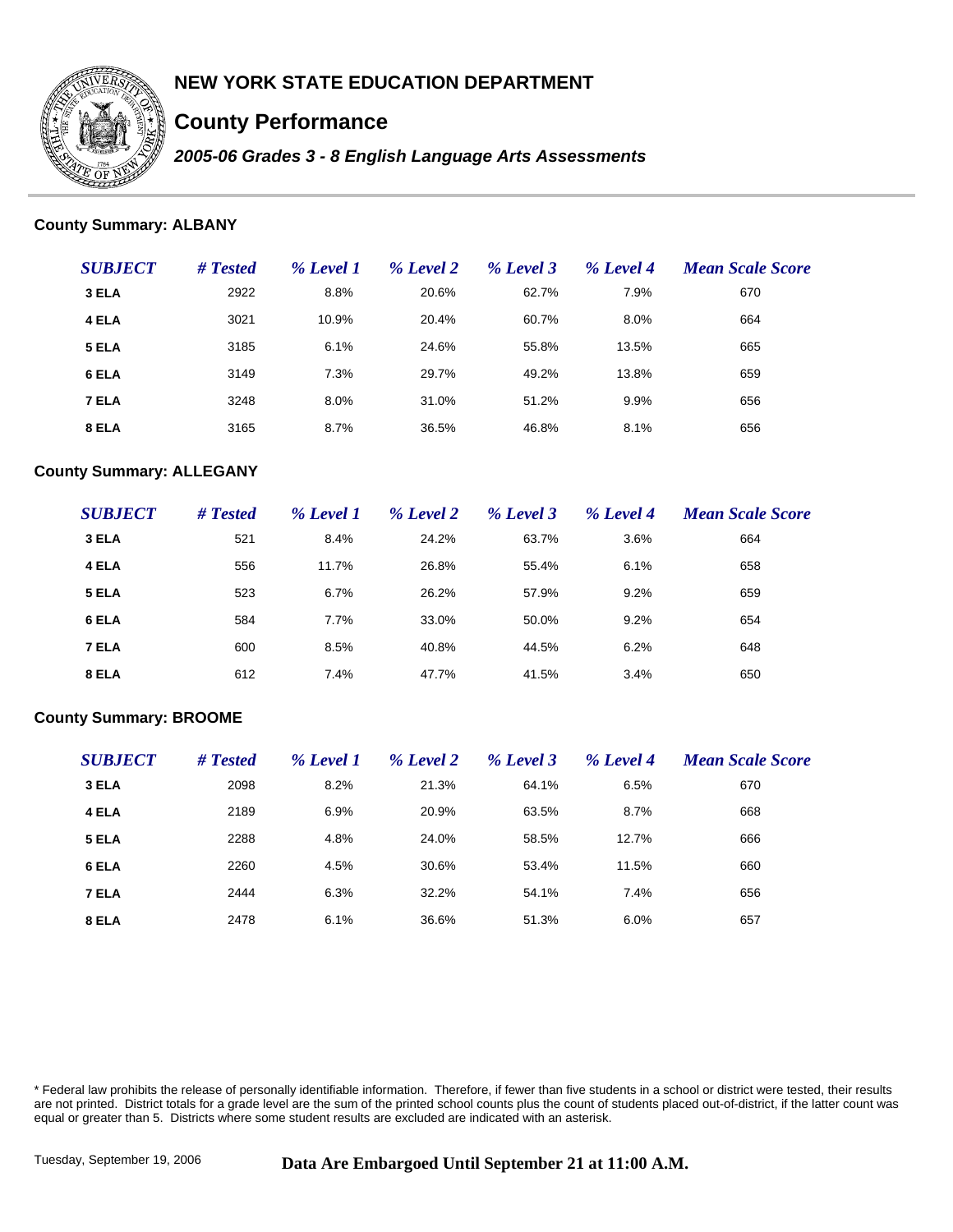

# **County Performance**

*2005-06 Grades 3 - 8 English Language Arts Assessments*

### **County Summary: ALBANY**

| <b>SUBJECT</b> | # Tested | % Level 1 | % Level 2 | % Level 3 | % Level 4 | <b>Mean Scale Score</b> |
|----------------|----------|-----------|-----------|-----------|-----------|-------------------------|
| 3 ELA          | 2922     | 8.8%      | 20.6%     | 62.7%     | 7.9%      | 670                     |
| 4 ELA          | 3021     | 10.9%     | 20.4%     | 60.7%     | 8.0%      | 664                     |
| 5 ELA          | 3185     | 6.1%      | 24.6%     | 55.8%     | 13.5%     | 665                     |
| 6 ELA          | 3149     | 7.3%      | 29.7%     | 49.2%     | 13.8%     | 659                     |
| 7 ELA          | 3248     | 8.0%      | 31.0%     | 51.2%     | 9.9%      | 656                     |
| 8 ELA          | 3165     | 8.7%      | 36.5%     | 46.8%     | 8.1%      | 656                     |

#### **County Summary: ALLEGANY**

| <b>SUBJECT</b> | # Tested | % Level 1 | % Level 2 | % Level 3 | % Level 4 | <b>Mean Scale Score</b> |
|----------------|----------|-----------|-----------|-----------|-----------|-------------------------|
| 3 ELA          | 521      | 8.4%      | 24.2%     | 63.7%     | 3.6%      | 664                     |
| 4 ELA          | 556      | 11.7%     | 26.8%     | 55.4%     | 6.1%      | 658                     |
| 5 ELA          | 523      | 6.7%      | 26.2%     | 57.9%     | 9.2%      | 659                     |
| 6 ELA          | 584      | 7.7%      | 33.0%     | 50.0%     | 9.2%      | 654                     |
| 7 ELA          | 600      | 8.5%      | 40.8%     | 44.5%     | 6.2%      | 648                     |
| 8 ELA          | 612      | 7.4%      | 47.7%     | 41.5%     | 3.4%      | 650                     |

#### **County Summary: BROOME**

| <b>SUBJECT</b> | # Tested | % Level 1 | % Level 2 | % Level 3 | % Level 4 | <b>Mean Scale Score</b> |
|----------------|----------|-----------|-----------|-----------|-----------|-------------------------|
| 3 ELA          | 2098     | 8.2%      | 21.3%     | 64.1%     | 6.5%      | 670                     |
| 4 ELA          | 2189     | 6.9%      | 20.9%     | 63.5%     | 8.7%      | 668                     |
| 5 ELA          | 2288     | 4.8%      | 24.0%     | 58.5%     | 12.7%     | 666                     |
| 6 ELA          | 2260     | 4.5%      | 30.6%     | 53.4%     | 11.5%     | 660                     |
| 7 ELA          | 2444     | 6.3%      | 32.2%     | 54.1%     | 7.4%      | 656                     |
| 8 ELA          | 2478     | 6.1%      | 36.6%     | 51.3%     | 6.0%      | 657                     |

\* Federal law prohibits the release of personally identifiable information. Therefore, if fewer than five students in a school or district were tested, their results are not printed. District totals for a grade level are the sum of the printed school counts plus the count of students placed out-of-district, if the latter count was equal or greater than 5. Districts where some student results are excluded are indicated with an asterisk.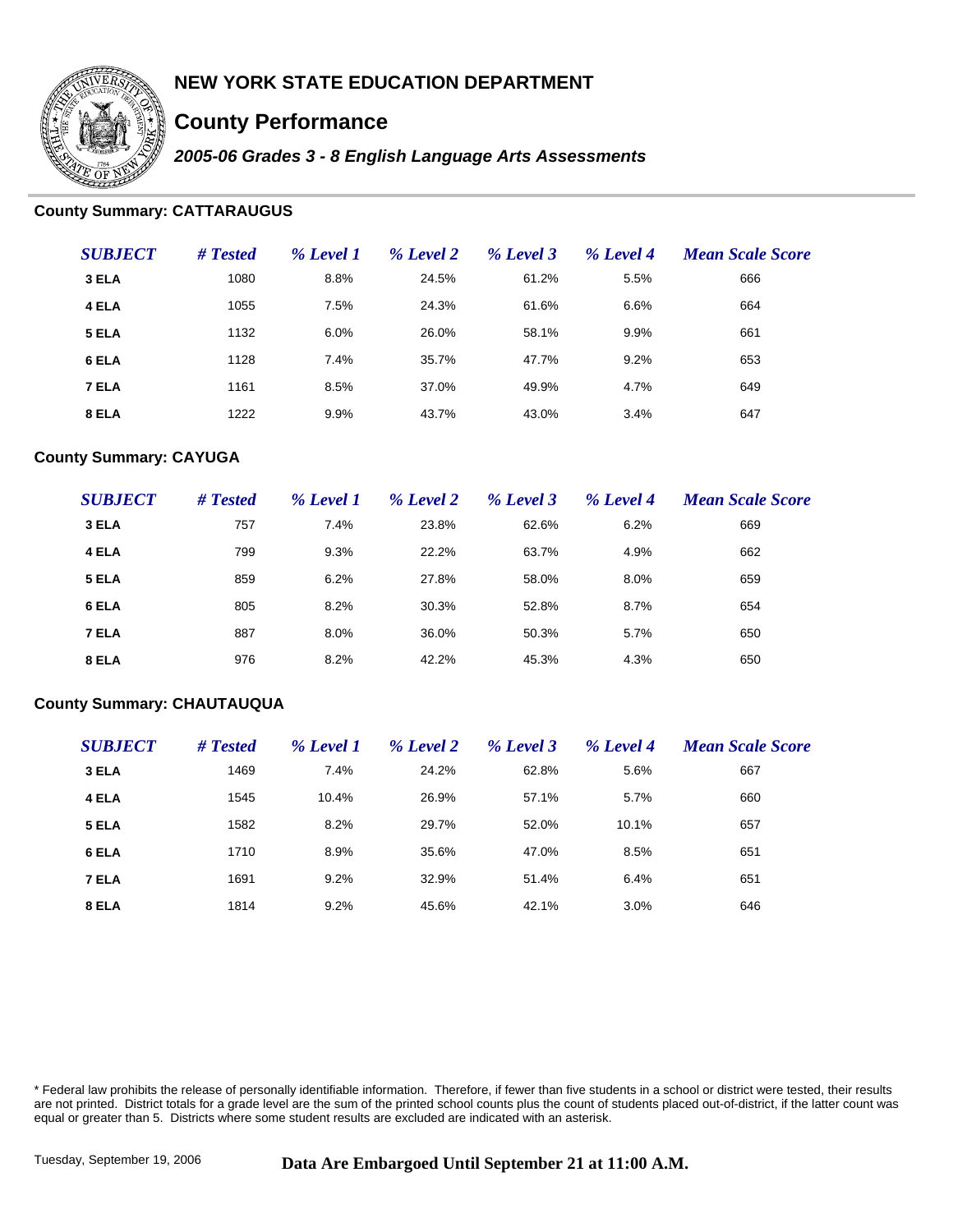

# **County Performance**

*2005-06 Grades 3 - 8 English Language Arts Assessments*

### **County Summary: CATTARAUGUS**

| <b>SUBJECT</b> | # Tested | % Level 1 | % Level 2 | % Level 3 | % Level 4 | <b>Mean Scale Score</b> |
|----------------|----------|-----------|-----------|-----------|-----------|-------------------------|
| 3 ELA          | 1080     | 8.8%      | 24.5%     | 61.2%     | 5.5%      | 666                     |
| 4 ELA          | 1055     | 7.5%      | 24.3%     | 61.6%     | 6.6%      | 664                     |
| 5 ELA          | 1132     | 6.0%      | 26.0%     | 58.1%     | 9.9%      | 661                     |
| 6 ELA          | 1128     | 7.4%      | 35.7%     | 47.7%     | 9.2%      | 653                     |
| 7 ELA          | 1161     | 8.5%      | 37.0%     | 49.9%     | 4.7%      | 649                     |
| 8 ELA          | 1222     | 9.9%      | 43.7%     | 43.0%     | 3.4%      | 647                     |

### **County Summary: CAYUGA**

| <b>SUBJECT</b> | # Tested | % Level 1 | % Level 2 | % Level 3 | % Level 4 | <b>Mean Scale Score</b> |
|----------------|----------|-----------|-----------|-----------|-----------|-------------------------|
| 3 ELA          | 757      | 7.4%      | 23.8%     | 62.6%     | 6.2%      | 669                     |
| 4 ELA          | 799      | 9.3%      | 22.2%     | 63.7%     | 4.9%      | 662                     |
| 5 ELA          | 859      | 6.2%      | 27.8%     | 58.0%     | 8.0%      | 659                     |
| 6 ELA          | 805      | 8.2%      | 30.3%     | 52.8%     | 8.7%      | 654                     |
| 7 ELA          | 887      | 8.0%      | 36.0%     | 50.3%     | 5.7%      | 650                     |
| 8 ELA          | 976      | 8.2%      | 42.2%     | 45.3%     | 4.3%      | 650                     |

#### **County Summary: CHAUTAUQUA**

| <b>SUBJECT</b> | # Tested | % Level 1 | % Level 2 | % Level 3 | % Level 4 | <b>Mean Scale Score</b> |
|----------------|----------|-----------|-----------|-----------|-----------|-------------------------|
| 3 ELA          | 1469     | 7.4%      | 24.2%     | 62.8%     | 5.6%      | 667                     |
| 4 ELA          | 1545     | 10.4%     | 26.9%     | 57.1%     | 5.7%      | 660                     |
| 5 ELA          | 1582     | 8.2%      | 29.7%     | 52.0%     | 10.1%     | 657                     |
| 6 ELA          | 1710     | 8.9%      | 35.6%     | 47.0%     | 8.5%      | 651                     |
| 7 ELA          | 1691     | 9.2%      | 32.9%     | 51.4%     | 6.4%      | 651                     |
| 8 ELA          | 1814     | 9.2%      | 45.6%     | 42.1%     | 3.0%      | 646                     |

\* Federal law prohibits the release of personally identifiable information. Therefore, if fewer than five students in a school or district were tested, their results are not printed. District totals for a grade level are the sum of the printed school counts plus the count of students placed out-of-district, if the latter count was equal or greater than 5. Districts where some student results are excluded are indicated with an asterisk.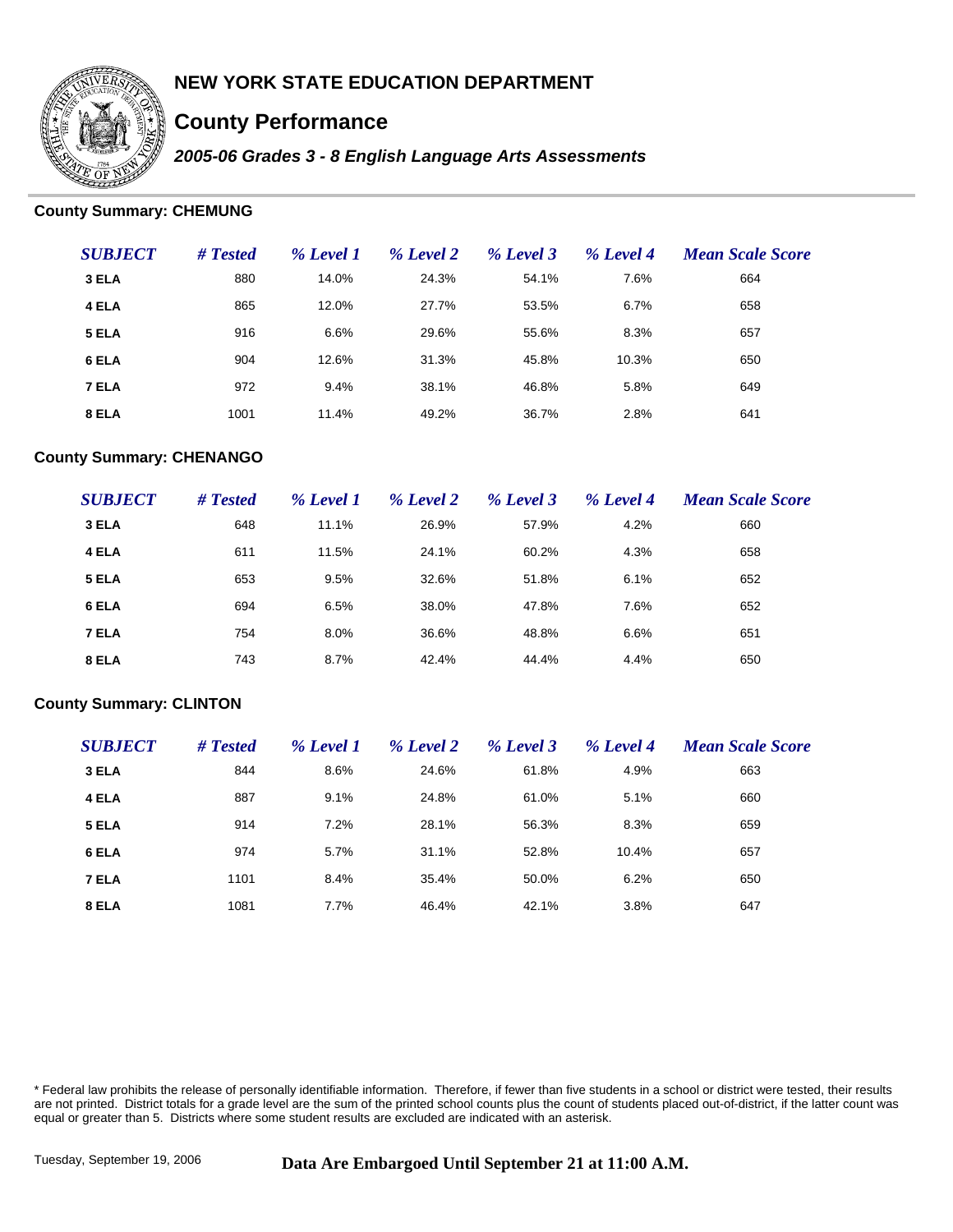

# **County Performance**

*2005-06 Grades 3 - 8 English Language Arts Assessments*

### **County Summary: CHEMUNG**

| <b>SUBJECT</b> | # Tested | % Level 1 | % Level 2 | % Level 3 | % Level 4 | <b>Mean Scale Score</b> |
|----------------|----------|-----------|-----------|-----------|-----------|-------------------------|
| 3 ELA          | 880      | 14.0%     | 24.3%     | 54.1%     | 7.6%      | 664                     |
| 4 ELA          | 865      | 12.0%     | 27.7%     | 53.5%     | 6.7%      | 658                     |
| 5 ELA          | 916      | 6.6%      | 29.6%     | 55.6%     | 8.3%      | 657                     |
| 6 ELA          | 904      | 12.6%     | 31.3%     | 45.8%     | 10.3%     | 650                     |
| 7 ELA          | 972      | 9.4%      | 38.1%     | 46.8%     | 5.8%      | 649                     |
| 8 ELA          | 1001     | 11.4%     | 49.2%     | 36.7%     | 2.8%      | 641                     |

#### **County Summary: CHENANGO**

| <b>SUBJECT</b> | # Tested | % Level 1 | % Level 2 | % Level 3 | % Level 4 | <b>Mean Scale Score</b> |
|----------------|----------|-----------|-----------|-----------|-----------|-------------------------|
| 3 ELA          | 648      | 11.1%     | 26.9%     | 57.9%     | 4.2%      | 660                     |
| 4 ELA          | 611      | 11.5%     | 24.1%     | 60.2%     | 4.3%      | 658                     |
| 5 ELA          | 653      | 9.5%      | 32.6%     | 51.8%     | 6.1%      | 652                     |
| 6 ELA          | 694      | 6.5%      | 38.0%     | 47.8%     | 7.6%      | 652                     |
| 7 ELA          | 754      | 8.0%      | 36.6%     | 48.8%     | 6.6%      | 651                     |
| 8 ELA          | 743      | 8.7%      | 42.4%     | 44.4%     | 4.4%      | 650                     |

#### **County Summary: CLINTON**

| <b>SUBJECT</b> | # Tested | % Level 1 | % Level 2 | % Level 3 | % Level 4 | <b>Mean Scale Score</b> |
|----------------|----------|-----------|-----------|-----------|-----------|-------------------------|
| 3 ELA          | 844      | 8.6%      | 24.6%     | 61.8%     | 4.9%      | 663                     |
| 4 ELA          | 887      | 9.1%      | 24.8%     | 61.0%     | 5.1%      | 660                     |
| 5 ELA          | 914      | 7.2%      | 28.1%     | 56.3%     | 8.3%      | 659                     |
| 6 ELA          | 974      | 5.7%      | 31.1%     | 52.8%     | 10.4%     | 657                     |
| 7 ELA          | 1101     | 8.4%      | 35.4%     | 50.0%     | 6.2%      | 650                     |
| 8 ELA          | 1081     | 7.7%      | 46.4%     | 42.1%     | 3.8%      | 647                     |

\* Federal law prohibits the release of personally identifiable information. Therefore, if fewer than five students in a school or district were tested, their results are not printed. District totals for a grade level are the sum of the printed school counts plus the count of students placed out-of-district, if the latter count was equal or greater than 5. Districts where some student results are excluded are indicated with an asterisk.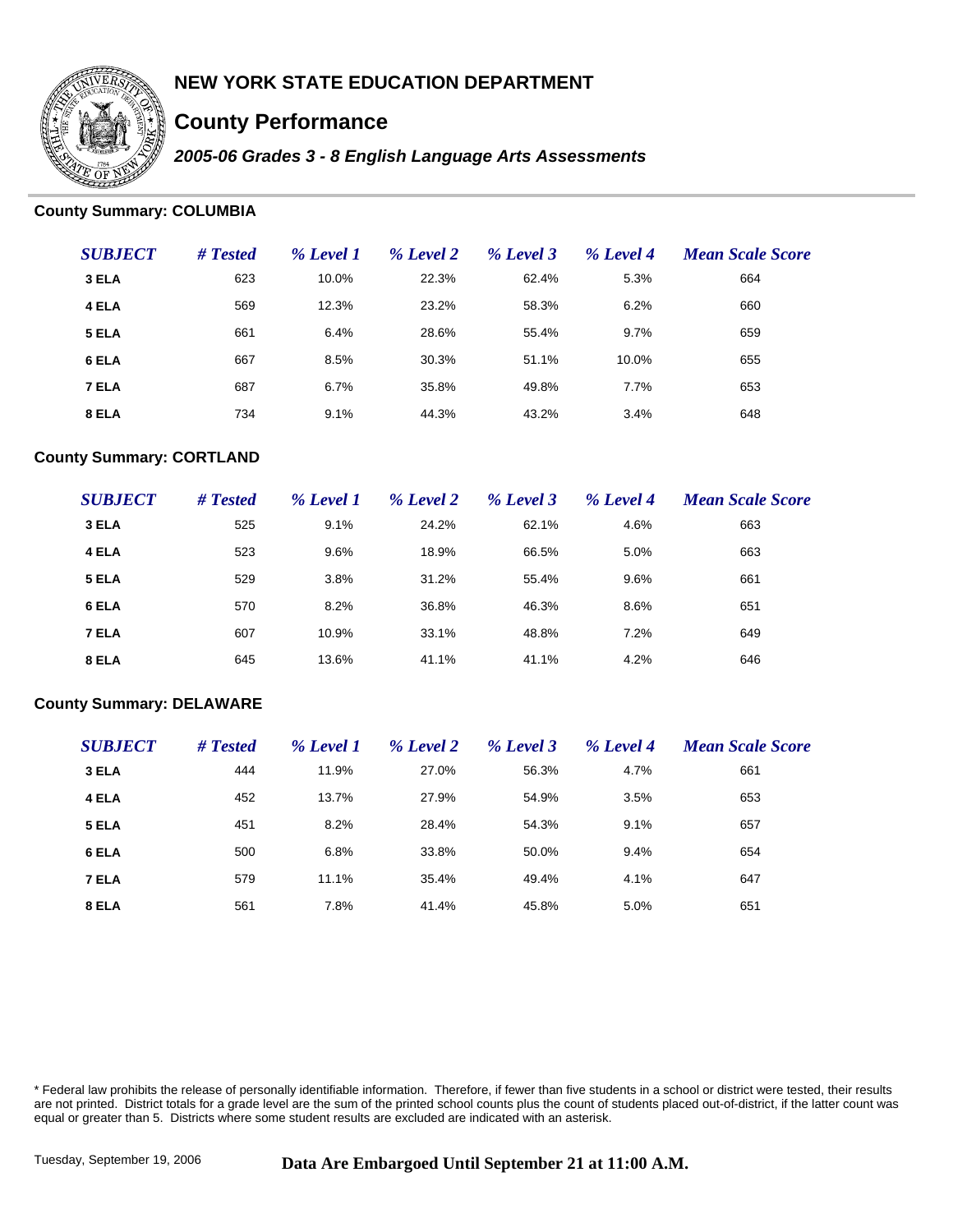

# **County Performance**

*2005-06 Grades 3 - 8 English Language Arts Assessments*

#### **County Summary: COLUMBIA**

| <b>SUBJECT</b> | # Tested | % Level 1 | % Level 2 | % Level 3 | % Level 4 | <b>Mean Scale Score</b> |
|----------------|----------|-----------|-----------|-----------|-----------|-------------------------|
| 3 ELA          | 623      | 10.0%     | 22.3%     | 62.4%     | 5.3%      | 664                     |
| 4 ELA          | 569      | 12.3%     | 23.2%     | 58.3%     | 6.2%      | 660                     |
| 5 ELA          | 661      | 6.4%      | 28.6%     | 55.4%     | 9.7%      | 659                     |
| 6 ELA          | 667      | 8.5%      | 30.3%     | 51.1%     | 10.0%     | 655                     |
| 7 ELA          | 687      | 6.7%      | 35.8%     | 49.8%     | 7.7%      | 653                     |
| 8 ELA          | 734      | 9.1%      | 44.3%     | 43.2%     | 3.4%      | 648                     |

### **County Summary: CORTLAND**

| <b>SUBJECT</b> | # Tested | % Level 1 | % Level 2 | % Level 3 | % Level 4 | <b>Mean Scale Score</b> |
|----------------|----------|-----------|-----------|-----------|-----------|-------------------------|
| 3 ELA          | 525      | 9.1%      | 24.2%     | 62.1%     | 4.6%      | 663                     |
| 4 ELA          | 523      | 9.6%      | 18.9%     | 66.5%     | 5.0%      | 663                     |
| 5 ELA          | 529      | 3.8%      | 31.2%     | 55.4%     | 9.6%      | 661                     |
| 6 ELA          | 570      | 8.2%      | 36.8%     | 46.3%     | 8.6%      | 651                     |
| 7 ELA          | 607      | 10.9%     | 33.1%     | 48.8%     | 7.2%      | 649                     |
| 8 ELA          | 645      | 13.6%     | 41.1%     | 41.1%     | 4.2%      | 646                     |

#### **County Summary: DELAWARE**

| <b>SUBJECT</b> | # Tested | % Level 1 | % Level 2 | % Level 3 | % Level 4 | <b>Mean Scale Score</b> |
|----------------|----------|-----------|-----------|-----------|-----------|-------------------------|
| 3 ELA          | 444      | 11.9%     | 27.0%     | 56.3%     | 4.7%      | 661                     |
| 4 ELA          | 452      | 13.7%     | 27.9%     | 54.9%     | 3.5%      | 653                     |
| 5 ELA          | 451      | 8.2%      | 28.4%     | 54.3%     | 9.1%      | 657                     |
| 6 ELA          | 500      | 6.8%      | 33.8%     | 50.0%     | 9.4%      | 654                     |
| 7 ELA          | 579      | 11.1%     | 35.4%     | 49.4%     | 4.1%      | 647                     |
| 8 ELA          | 561      | 7.8%      | 41.4%     | 45.8%     | 5.0%      | 651                     |

\* Federal law prohibits the release of personally identifiable information. Therefore, if fewer than five students in a school or district were tested, their results are not printed. District totals for a grade level are the sum of the printed school counts plus the count of students placed out-of-district, if the latter count was equal or greater than 5. Districts where some student results are excluded are indicated with an asterisk.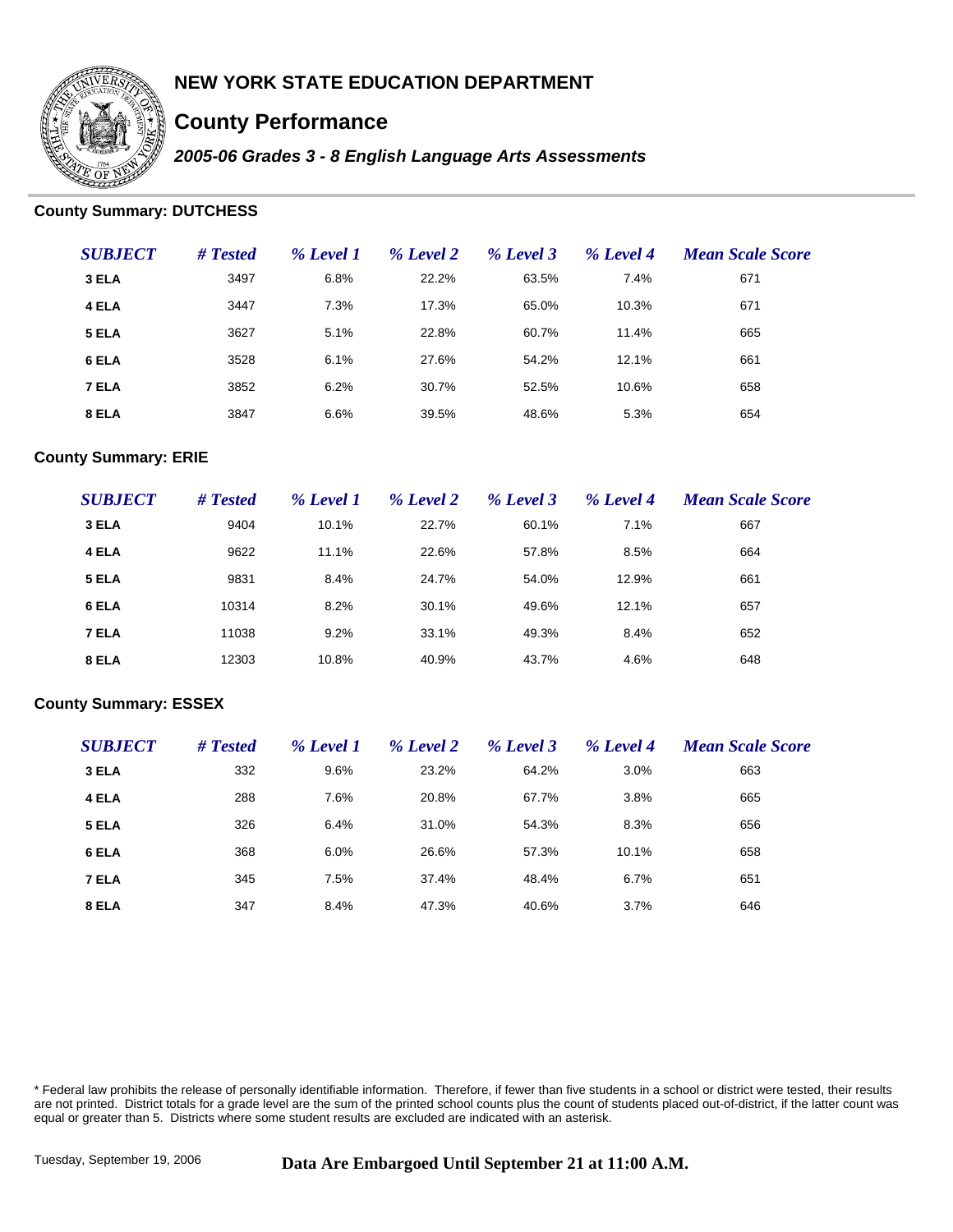

# **County Performance**

*2005-06 Grades 3 - 8 English Language Arts Assessments*

### **County Summary: DUTCHESS**

| <b>SUBJECT</b> | # Tested | % Level 1 | % Level 2 | % Level 3 | % Level 4 | <b>Mean Scale Score</b> |
|----------------|----------|-----------|-----------|-----------|-----------|-------------------------|
| 3 ELA          | 3497     | 6.8%      | 22.2%     | 63.5%     | 7.4%      | 671                     |
| 4 ELA          | 3447     | 7.3%      | 17.3%     | 65.0%     | 10.3%     | 671                     |
| 5 ELA          | 3627     | 5.1%      | 22.8%     | 60.7%     | 11.4%     | 665                     |
| 6 ELA          | 3528     | 6.1%      | 27.6%     | 54.2%     | 12.1%     | 661                     |
| 7 ELA          | 3852     | 6.2%      | 30.7%     | 52.5%     | 10.6%     | 658                     |
| 8 ELA          | 3847     | 6.6%      | 39.5%     | 48.6%     | 5.3%      | 654                     |

### **County Summary: ERIE**

| <b>SUBJECT</b> | # Tested | % Level 1 | % Level 2 | % Level 3 | % Level 4 | <b>Mean Scale Score</b> |
|----------------|----------|-----------|-----------|-----------|-----------|-------------------------|
| 3 ELA          | 9404     | 10.1%     | 22.7%     | 60.1%     | 7.1%      | 667                     |
| 4 ELA          | 9622     | 11.1%     | 22.6%     | 57.8%     | 8.5%      | 664                     |
| 5 ELA          | 9831     | 8.4%      | 24.7%     | 54.0%     | 12.9%     | 661                     |
| 6 ELA          | 10314    | 8.2%      | 30.1%     | 49.6%     | 12.1%     | 657                     |
| 7 ELA          | 11038    | 9.2%      | 33.1%     | 49.3%     | 8.4%      | 652                     |
| 8 ELA          | 12303    | 10.8%     | 40.9%     | 43.7%     | 4.6%      | 648                     |

#### **County Summary: ESSEX**

| <b>SUBJECT</b> | # Tested | % Level 1 | % Level 2 | % Level 3 | % Level 4 | <b>Mean Scale Score</b> |
|----------------|----------|-----------|-----------|-----------|-----------|-------------------------|
| 3 ELA          | 332      | 9.6%      | 23.2%     | 64.2%     | 3.0%      | 663                     |
| 4 ELA          | 288      | 7.6%      | 20.8%     | 67.7%     | 3.8%      | 665                     |
| 5 ELA          | 326      | 6.4%      | 31.0%     | 54.3%     | 8.3%      | 656                     |
| 6 ELA          | 368      | 6.0%      | 26.6%     | 57.3%     | 10.1%     | 658                     |
| 7 ELA          | 345      | 7.5%      | 37.4%     | 48.4%     | 6.7%      | 651                     |
| 8 ELA          | 347      | 8.4%      | 47.3%     | 40.6%     | 3.7%      | 646                     |

\* Federal law prohibits the release of personally identifiable information. Therefore, if fewer than five students in a school or district were tested, their results are not printed. District totals for a grade level are the sum of the printed school counts plus the count of students placed out-of-district, if the latter count was equal or greater than 5. Districts where some student results are excluded are indicated with an asterisk.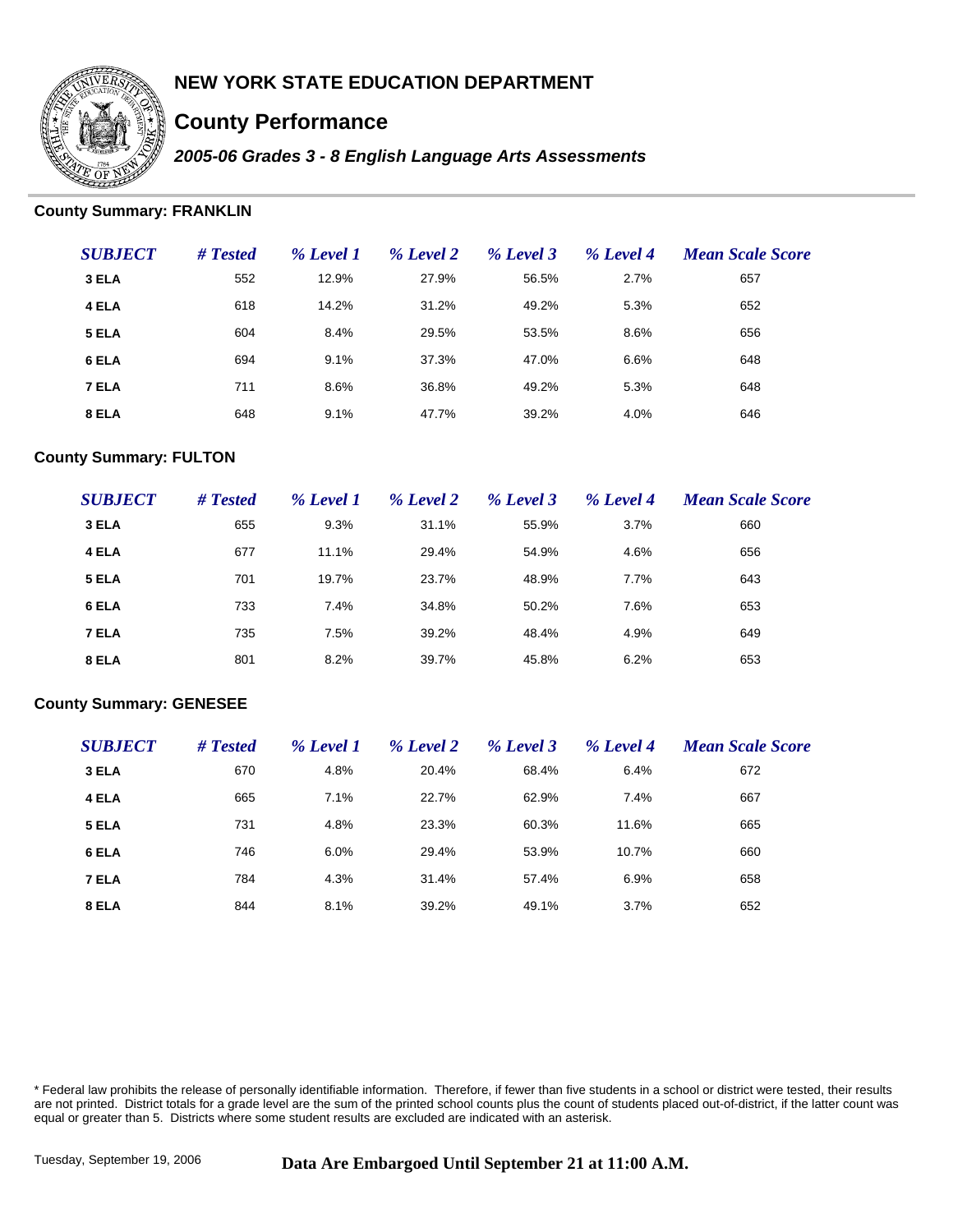

# **County Performance**

*2005-06 Grades 3 - 8 English Language Arts Assessments*

### **County Summary: FRANKLIN**

| <b>SUBJECT</b> | # Tested | % Level 1 | % Level 2 | % Level 3 | % Level 4 | <b>Mean Scale Score</b> |
|----------------|----------|-----------|-----------|-----------|-----------|-------------------------|
| 3 ELA          | 552      | 12.9%     | 27.9%     | 56.5%     | 2.7%      | 657                     |
| 4 ELA          | 618      | 14.2%     | 31.2%     | 49.2%     | 5.3%      | 652                     |
| 5 ELA          | 604      | 8.4%      | 29.5%     | 53.5%     | 8.6%      | 656                     |
| 6 ELA          | 694      | 9.1%      | 37.3%     | 47.0%     | 6.6%      | 648                     |
| 7 ELA          | 711      | 8.6%      | 36.8%     | 49.2%     | 5.3%      | 648                     |
| 8 ELA          | 648      | 9.1%      | 47.7%     | 39.2%     | 4.0%      | 646                     |

### **County Summary: FULTON**

| <b>SUBJECT</b> | # Tested | % Level 1 | % Level 2 | % Level 3 | % Level 4 | <b>Mean Scale Score</b> |
|----------------|----------|-----------|-----------|-----------|-----------|-------------------------|
| 3 ELA          | 655      | 9.3%      | 31.1%     | 55.9%     | 3.7%      | 660                     |
| 4 ELA          | 677      | 11.1%     | 29.4%     | 54.9%     | 4.6%      | 656                     |
| 5 ELA          | 701      | 19.7%     | 23.7%     | 48.9%     | 7.7%      | 643                     |
| 6 ELA          | 733      | 7.4%      | 34.8%     | 50.2%     | 7.6%      | 653                     |
| 7 ELA          | 735      | 7.5%      | 39.2%     | 48.4%     | 4.9%      | 649                     |
| 8 ELA          | 801      | 8.2%      | 39.7%     | 45.8%     | 6.2%      | 653                     |

#### **County Summary: GENESEE**

| <b>SUBJECT</b> | # Tested | % Level 1 | % Level 2 | % Level 3 | % Level 4 | <b>Mean Scale Score</b> |
|----------------|----------|-----------|-----------|-----------|-----------|-------------------------|
| 3 ELA          | 670      | 4.8%      | 20.4%     | 68.4%     | 6.4%      | 672                     |
| 4 ELA          | 665      | 7.1%      | 22.7%     | 62.9%     | 7.4%      | 667                     |
| 5 ELA          | 731      | 4.8%      | 23.3%     | 60.3%     | 11.6%     | 665                     |
| 6 ELA          | 746      | 6.0%      | 29.4%     | 53.9%     | 10.7%     | 660                     |
| 7 ELA          | 784      | 4.3%      | 31.4%     | 57.4%     | 6.9%      | 658                     |
| 8 ELA          | 844      | 8.1%      | 39.2%     | 49.1%     | 3.7%      | 652                     |

\* Federal law prohibits the release of personally identifiable information. Therefore, if fewer than five students in a school or district were tested, their results are not printed. District totals for a grade level are the sum of the printed school counts plus the count of students placed out-of-district, if the latter count was equal or greater than 5. Districts where some student results are excluded are indicated with an asterisk.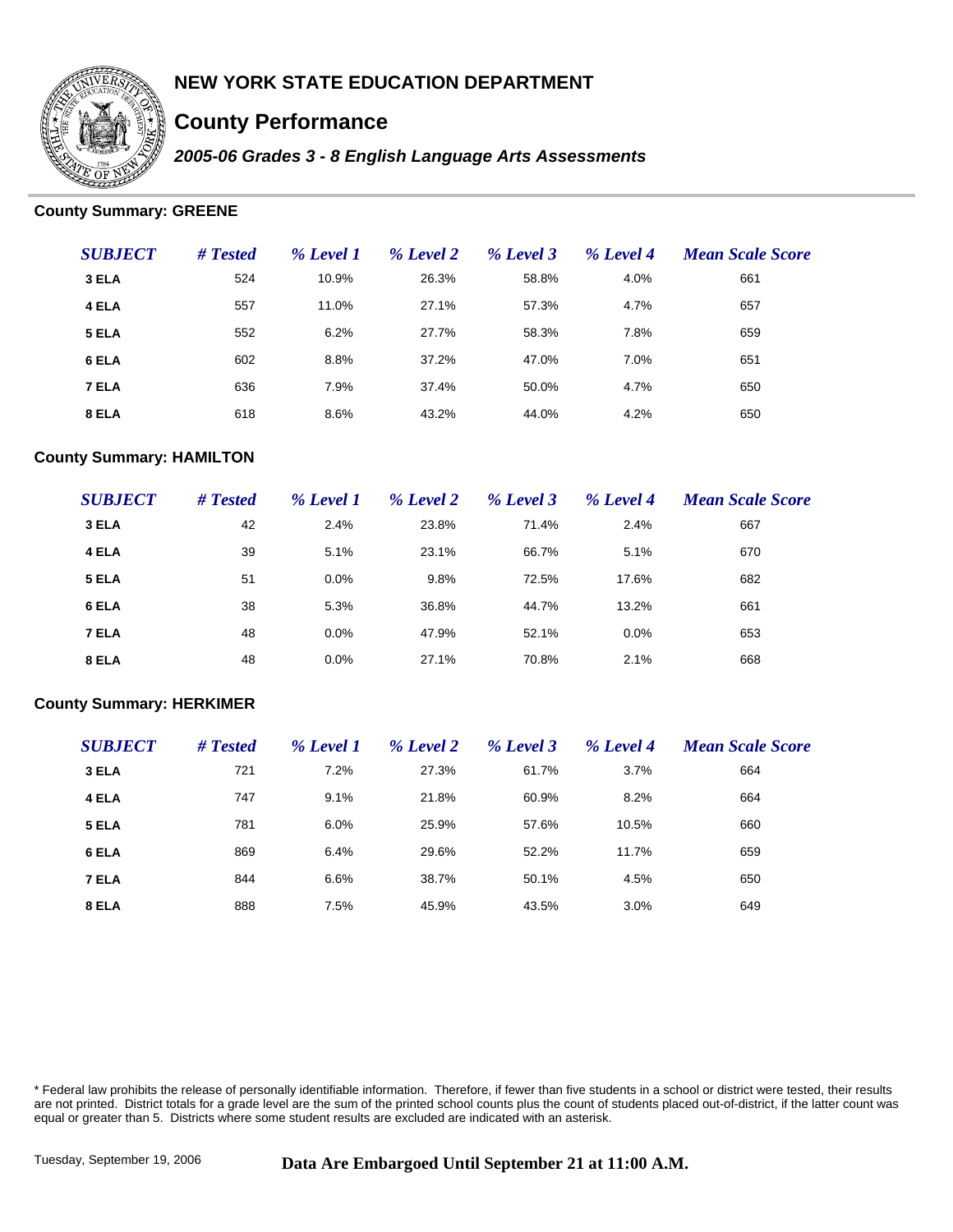

# **County Performance**

*2005-06 Grades 3 - 8 English Language Arts Assessments*

### **County Summary: GREENE**

| <b>SUBJECT</b> | # Tested | % Level 1 | % Level 2 | % Level 3 | % Level 4 | <b>Mean Scale Score</b> |
|----------------|----------|-----------|-----------|-----------|-----------|-------------------------|
| 3 ELA          | 524      | 10.9%     | 26.3%     | 58.8%     | 4.0%      | 661                     |
| 4 ELA          | 557      | 11.0%     | 27.1%     | 57.3%     | 4.7%      | 657                     |
| 5 ELA          | 552      | 6.2%      | 27.7%     | 58.3%     | 7.8%      | 659                     |
| 6 ELA          | 602      | 8.8%      | 37.2%     | 47.0%     | 7.0%      | 651                     |
| 7 ELA          | 636      | 7.9%      | 37.4%     | 50.0%     | 4.7%      | 650                     |
| 8 ELA          | 618      | 8.6%      | 43.2%     | 44.0%     | 4.2%      | 650                     |

### **County Summary: HAMILTON**

| <b>SUBJECT</b> | # Tested | % Level 1 | % Level 2 | % Level 3 | % Level 4 | <b>Mean Scale Score</b> |
|----------------|----------|-----------|-----------|-----------|-----------|-------------------------|
| 3 ELA          | 42       | 2.4%      | 23.8%     | 71.4%     | 2.4%      | 667                     |
| 4 ELA          | 39       | 5.1%      | 23.1%     | 66.7%     | 5.1%      | 670                     |
| 5 ELA          | 51       | 0.0%      | 9.8%      | 72.5%     | 17.6%     | 682                     |
| 6 ELA          | 38       | 5.3%      | 36.8%     | 44.7%     | 13.2%     | 661                     |
| 7 ELA          | 48       | 0.0%      | 47.9%     | 52.1%     | 0.0%      | 653                     |
| 8 ELA          | 48       | 0.0%      | 27.1%     | 70.8%     | 2.1%      | 668                     |

#### **County Summary: HERKIMER**

| <b>SUBJECT</b> | # Tested | % Level 1 | % Level 2 | % Level 3 | % Level 4 | <b>Mean Scale Score</b> |
|----------------|----------|-----------|-----------|-----------|-----------|-------------------------|
| 3 ELA          | 721      | 7.2%      | 27.3%     | 61.7%     | 3.7%      | 664                     |
| 4 ELA          | 747      | 9.1%      | 21.8%     | 60.9%     | 8.2%      | 664                     |
| 5 ELA          | 781      | 6.0%      | 25.9%     | 57.6%     | 10.5%     | 660                     |
| 6 ELA          | 869      | 6.4%      | 29.6%     | 52.2%     | 11.7%     | 659                     |
| 7 ELA          | 844      | 6.6%      | 38.7%     | 50.1%     | 4.5%      | 650                     |
| 8 ELA          | 888      | 7.5%      | 45.9%     | 43.5%     | 3.0%      | 649                     |

\* Federal law prohibits the release of personally identifiable information. Therefore, if fewer than five students in a school or district were tested, their results are not printed. District totals for a grade level are the sum of the printed school counts plus the count of students placed out-of-district, if the latter count was equal or greater than 5. Districts where some student results are excluded are indicated with an asterisk.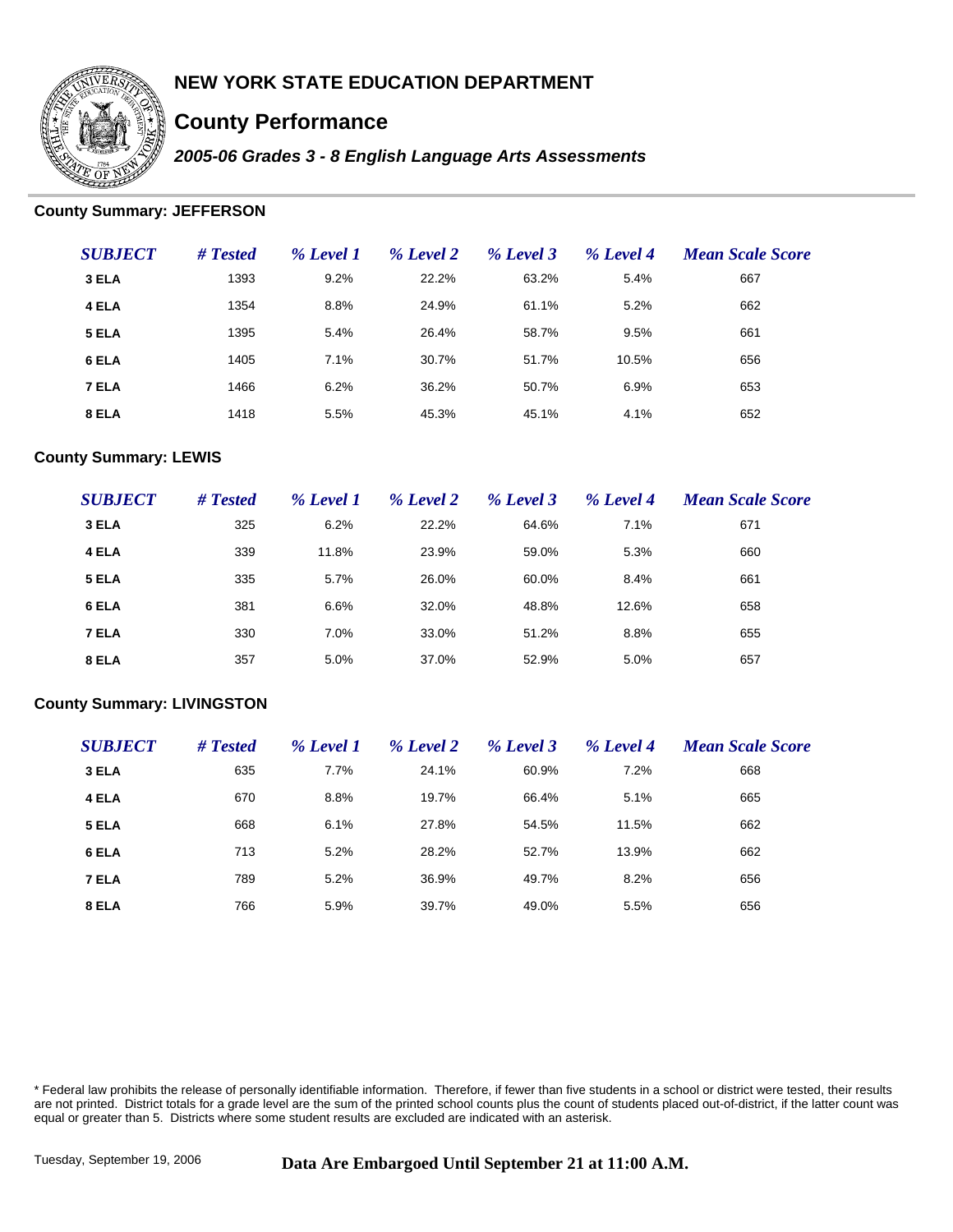

# **County Performance**

*2005-06 Grades 3 - 8 English Language Arts Assessments*

### **County Summary: JEFFERSON**

| <b>SUBJECT</b> | # Tested | % Level 1 | % Level 2 | % Level 3 | % Level 4 | <b>Mean Scale Score</b> |
|----------------|----------|-----------|-----------|-----------|-----------|-------------------------|
| 3 ELA          | 1393     | 9.2%      | 22.2%     | 63.2%     | 5.4%      | 667                     |
| 4 ELA          | 1354     | 8.8%      | 24.9%     | 61.1%     | 5.2%      | 662                     |
| 5 ELA          | 1395     | 5.4%      | 26.4%     | 58.7%     | 9.5%      | 661                     |
| 6 ELA          | 1405     | 7.1%      | 30.7%     | 51.7%     | 10.5%     | 656                     |
| 7 ELA          | 1466     | 6.2%      | 36.2%     | 50.7%     | 6.9%      | 653                     |
| 8 ELA          | 1418     | 5.5%      | 45.3%     | 45.1%     | 4.1%      | 652                     |

### **County Summary: LEWIS**

| <b>SUBJECT</b> | # Tested | % Level 1 | % Level 2 | % Level 3 | % Level 4 | <b>Mean Scale Score</b> |
|----------------|----------|-----------|-----------|-----------|-----------|-------------------------|
| 3 ELA          | 325      | 6.2%      | 22.2%     | 64.6%     | 7.1%      | 671                     |
| 4 ELA          | 339      | 11.8%     | 23.9%     | 59.0%     | 5.3%      | 660                     |
| 5 ELA          | 335      | 5.7%      | 26.0%     | 60.0%     | 8.4%      | 661                     |
| 6 ELA          | 381      | 6.6%      | 32.0%     | 48.8%     | 12.6%     | 658                     |
| 7 ELA          | 330      | 7.0%      | 33.0%     | 51.2%     | 8.8%      | 655                     |
| 8 ELA          | 357      | 5.0%      | 37.0%     | 52.9%     | 5.0%      | 657                     |

#### **County Summary: LIVINGSTON**

| <b>SUBJECT</b> | # Tested | % Level 1 | % Level 2 | % Level 3 | % Level 4 | <b>Mean Scale Score</b> |
|----------------|----------|-----------|-----------|-----------|-----------|-------------------------|
| 3 ELA          | 635      | 7.7%      | 24.1%     | 60.9%     | 7.2%      | 668                     |
| 4 ELA          | 670      | 8.8%      | 19.7%     | 66.4%     | 5.1%      | 665                     |
| 5 ELA          | 668      | 6.1%      | 27.8%     | 54.5%     | 11.5%     | 662                     |
| 6 ELA          | 713      | 5.2%      | 28.2%     | 52.7%     | 13.9%     | 662                     |
| 7 ELA          | 789      | 5.2%      | 36.9%     | 49.7%     | 8.2%      | 656                     |
| 8 ELA          | 766      | 5.9%      | 39.7%     | 49.0%     | 5.5%      | 656                     |

\* Federal law prohibits the release of personally identifiable information. Therefore, if fewer than five students in a school or district were tested, their results are not printed. District totals for a grade level are the sum of the printed school counts plus the count of students placed out-of-district, if the latter count was equal or greater than 5. Districts where some student results are excluded are indicated with an asterisk.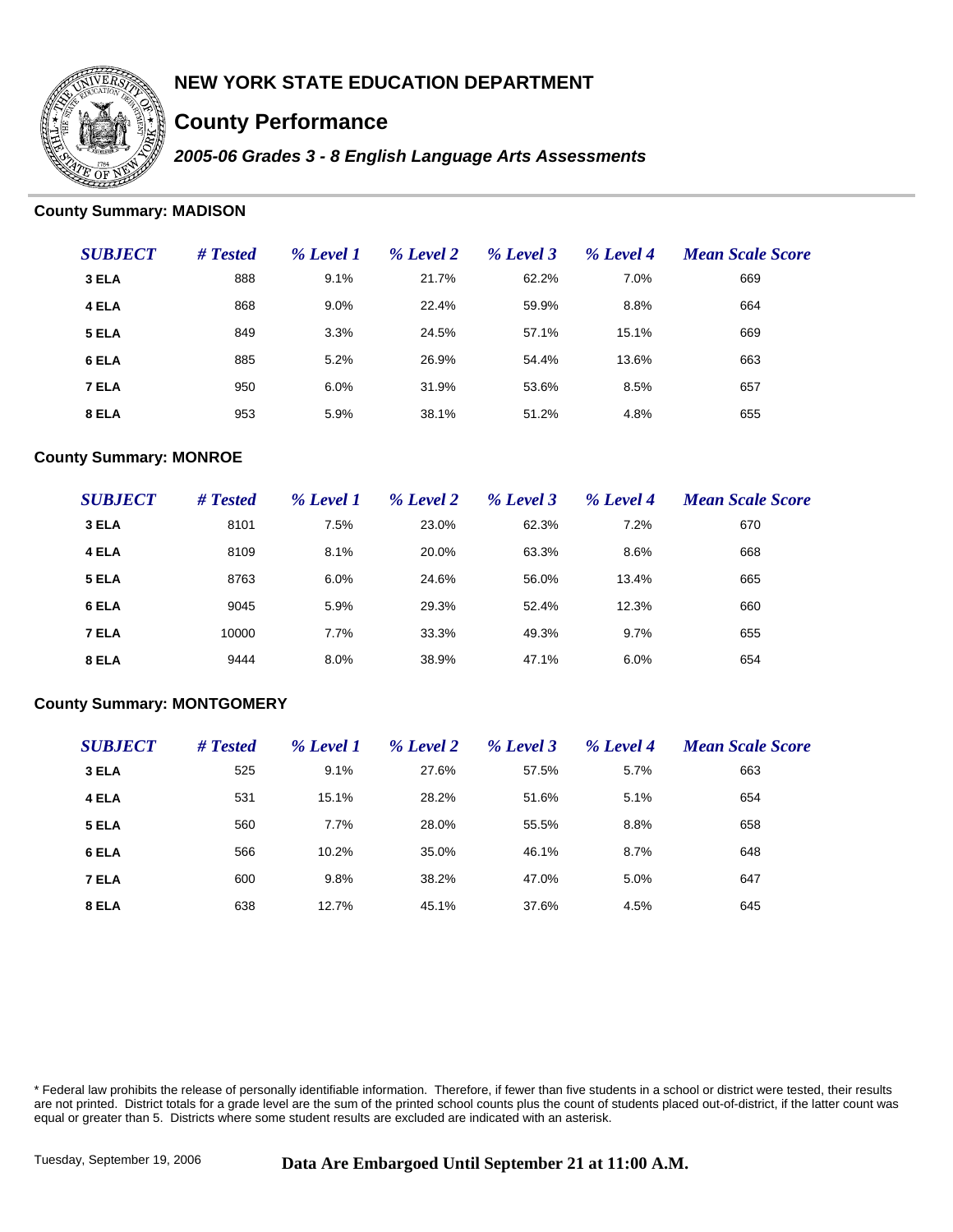

# **County Performance**

*2005-06 Grades 3 - 8 English Language Arts Assessments*

### **County Summary: MADISON**

| <b>SUBJECT</b> | # Tested | % Level 1 | % Level 2 | % Level 3 | % Level 4 | <b>Mean Scale Score</b> |
|----------------|----------|-----------|-----------|-----------|-----------|-------------------------|
| 3 ELA          | 888      | 9.1%      | 21.7%     | 62.2%     | 7.0%      | 669                     |
| 4 ELA          | 868      | 9.0%      | 22.4%     | 59.9%     | 8.8%      | 664                     |
| 5 ELA          | 849      | 3.3%      | 24.5%     | 57.1%     | 15.1%     | 669                     |
| 6 ELA          | 885      | 5.2%      | 26.9%     | 54.4%     | 13.6%     | 663                     |
| 7 ELA          | 950      | 6.0%      | 31.9%     | 53.6%     | 8.5%      | 657                     |
| 8 ELA          | 953      | 5.9%      | 38.1%     | 51.2%     | 4.8%      | 655                     |

### **County Summary: MONROE**

| <b>SUBJECT</b> | # Tested | % Level 1 | % Level 2 | % Level 3 | % Level 4 | <b>Mean Scale Score</b> |
|----------------|----------|-----------|-----------|-----------|-----------|-------------------------|
| 3 ELA          | 8101     | 7.5%      | 23.0%     | 62.3%     | 7.2%      | 670                     |
| 4 ELA          | 8109     | 8.1%      | 20.0%     | 63.3%     | 8.6%      | 668                     |
| 5 ELA          | 8763     | 6.0%      | 24.6%     | 56.0%     | 13.4%     | 665                     |
| 6 ELA          | 9045     | 5.9%      | 29.3%     | 52.4%     | 12.3%     | 660                     |
| 7 ELA          | 10000    | 7.7%      | 33.3%     | 49.3%     | 9.7%      | 655                     |
| 8 ELA          | 9444     | 8.0%      | 38.9%     | 47.1%     | 6.0%      | 654                     |

#### **County Summary: MONTGOMERY**

| <b>SUBJECT</b> | # Tested | % Level 1 | % Level 2 | % Level 3 | % Level 4 | <b>Mean Scale Score</b> |
|----------------|----------|-----------|-----------|-----------|-----------|-------------------------|
| 3 ELA          | 525      | 9.1%      | 27.6%     | 57.5%     | 5.7%      | 663                     |
| 4 ELA          | 531      | 15.1%     | 28.2%     | 51.6%     | 5.1%      | 654                     |
| 5 ELA          | 560      | 7.7%      | 28.0%     | 55.5%     | 8.8%      | 658                     |
| 6 ELA          | 566      | 10.2%     | 35.0%     | 46.1%     | 8.7%      | 648                     |
| 7 ELA          | 600      | 9.8%      | 38.2%     | 47.0%     | 5.0%      | 647                     |
| 8 ELA          | 638      | 12.7%     | 45.1%     | 37.6%     | 4.5%      | 645                     |

\* Federal law prohibits the release of personally identifiable information. Therefore, if fewer than five students in a school or district were tested, their results are not printed. District totals for a grade level are the sum of the printed school counts plus the count of students placed out-of-district, if the latter count was equal or greater than 5. Districts where some student results are excluded are indicated with an asterisk.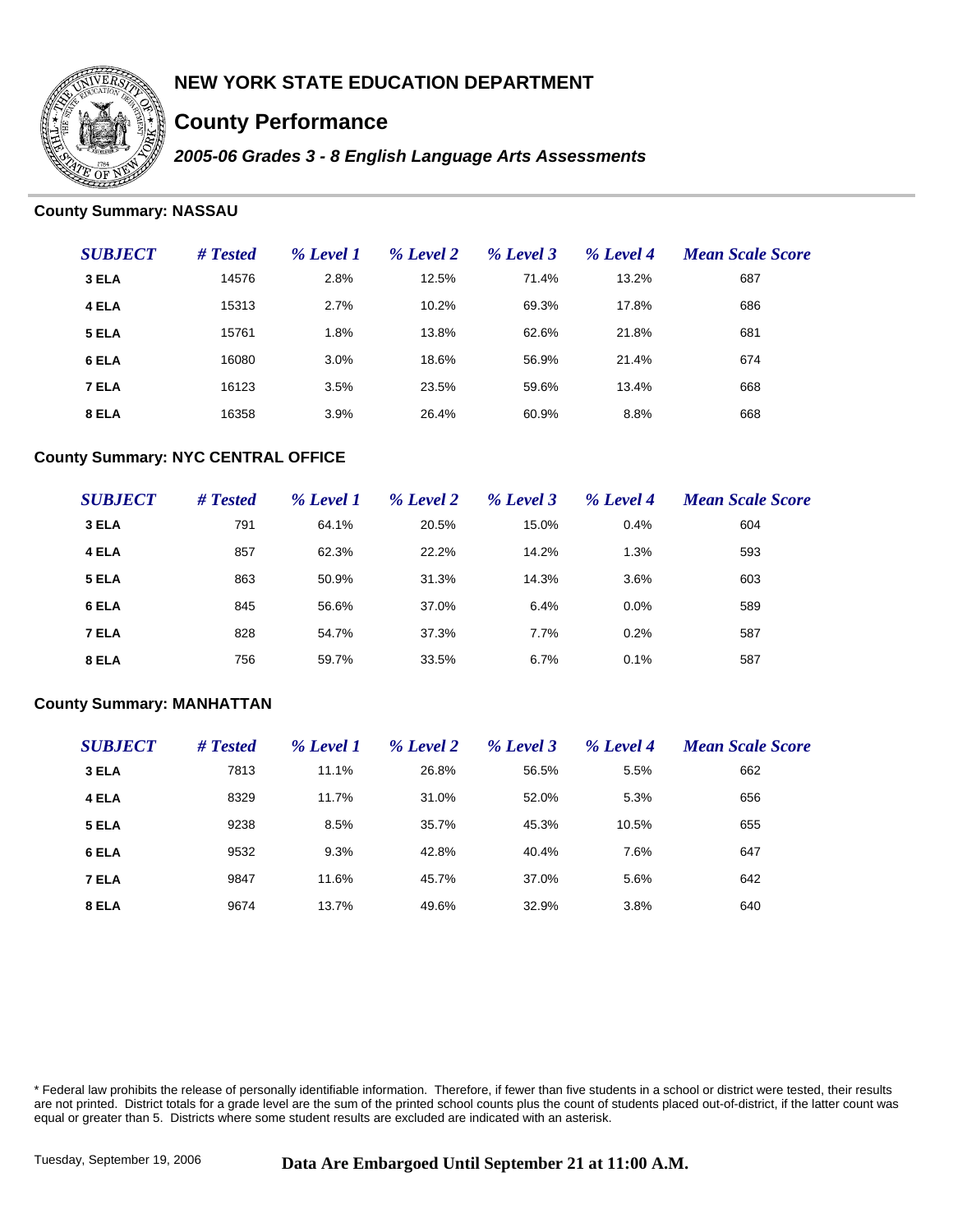

# **County Performance**

*2005-06 Grades 3 - 8 English Language Arts Assessments*

### **County Summary: NASSAU**

| <b>SUBJECT</b> | # Tested | % Level 1 | % Level 2 | % Level 3 | % Level 4 | <b>Mean Scale Score</b> |
|----------------|----------|-----------|-----------|-----------|-----------|-------------------------|
| 3 ELA          | 14576    | 2.8%      | 12.5%     | 71.4%     | 13.2%     | 687                     |
| 4 ELA          | 15313    | 2.7%      | 10.2%     | 69.3%     | 17.8%     | 686                     |
| 5 ELA          | 15761    | 1.8%      | 13.8%     | 62.6%     | 21.8%     | 681                     |
| 6 ELA          | 16080    | 3.0%      | 18.6%     | 56.9%     | 21.4%     | 674                     |
| 7 ELA          | 16123    | 3.5%      | 23.5%     | 59.6%     | 13.4%     | 668                     |
| 8 ELA          | 16358    | 3.9%      | 26.4%     | 60.9%     | 8.8%      | 668                     |

#### **County Summary: NYC CENTRAL OFFICE**

| <b>SUBJECT</b> | # Tested | % Level 1 | % Level 2 | % Level 3 | % Level 4 | <b>Mean Scale Score</b> |
|----------------|----------|-----------|-----------|-----------|-----------|-------------------------|
| 3 ELA          | 791      | 64.1%     | 20.5%     | 15.0%     | 0.4%      | 604                     |
| 4 ELA          | 857      | 62.3%     | 22.2%     | 14.2%     | 1.3%      | 593                     |
| 5 ELA          | 863      | 50.9%     | 31.3%     | 14.3%     | 3.6%      | 603                     |
| 6 ELA          | 845      | 56.6%     | 37.0%     | 6.4%      | 0.0%      | 589                     |
| 7 ELA          | 828      | 54.7%     | 37.3%     | 7.7%      | 0.2%      | 587                     |
| 8 ELA          | 756      | 59.7%     | 33.5%     | 6.7%      | 0.1%      | 587                     |

#### **County Summary: MANHATTAN**

| <b>SUBJECT</b> | # Tested | % Level 1 | % Level 2 | % Level 3 | % Level 4 | <b>Mean Scale Score</b> |
|----------------|----------|-----------|-----------|-----------|-----------|-------------------------|
| 3 ELA          | 7813     | 11.1%     | 26.8%     | 56.5%     | 5.5%      | 662                     |
| 4 ELA          | 8329     | 11.7%     | 31.0%     | 52.0%     | 5.3%      | 656                     |
| 5 ELA          | 9238     | 8.5%      | 35.7%     | 45.3%     | 10.5%     | 655                     |
| 6 ELA          | 9532     | 9.3%      | 42.8%     | 40.4%     | 7.6%      | 647                     |
| 7 ELA          | 9847     | 11.6%     | 45.7%     | 37.0%     | 5.6%      | 642                     |
| 8 ELA          | 9674     | 13.7%     | 49.6%     | 32.9%     | 3.8%      | 640                     |

\* Federal law prohibits the release of personally identifiable information. Therefore, if fewer than five students in a school or district were tested, their results are not printed. District totals for a grade level are the sum of the printed school counts plus the count of students placed out-of-district, if the latter count was equal or greater than 5. Districts where some student results are excluded are indicated with an asterisk.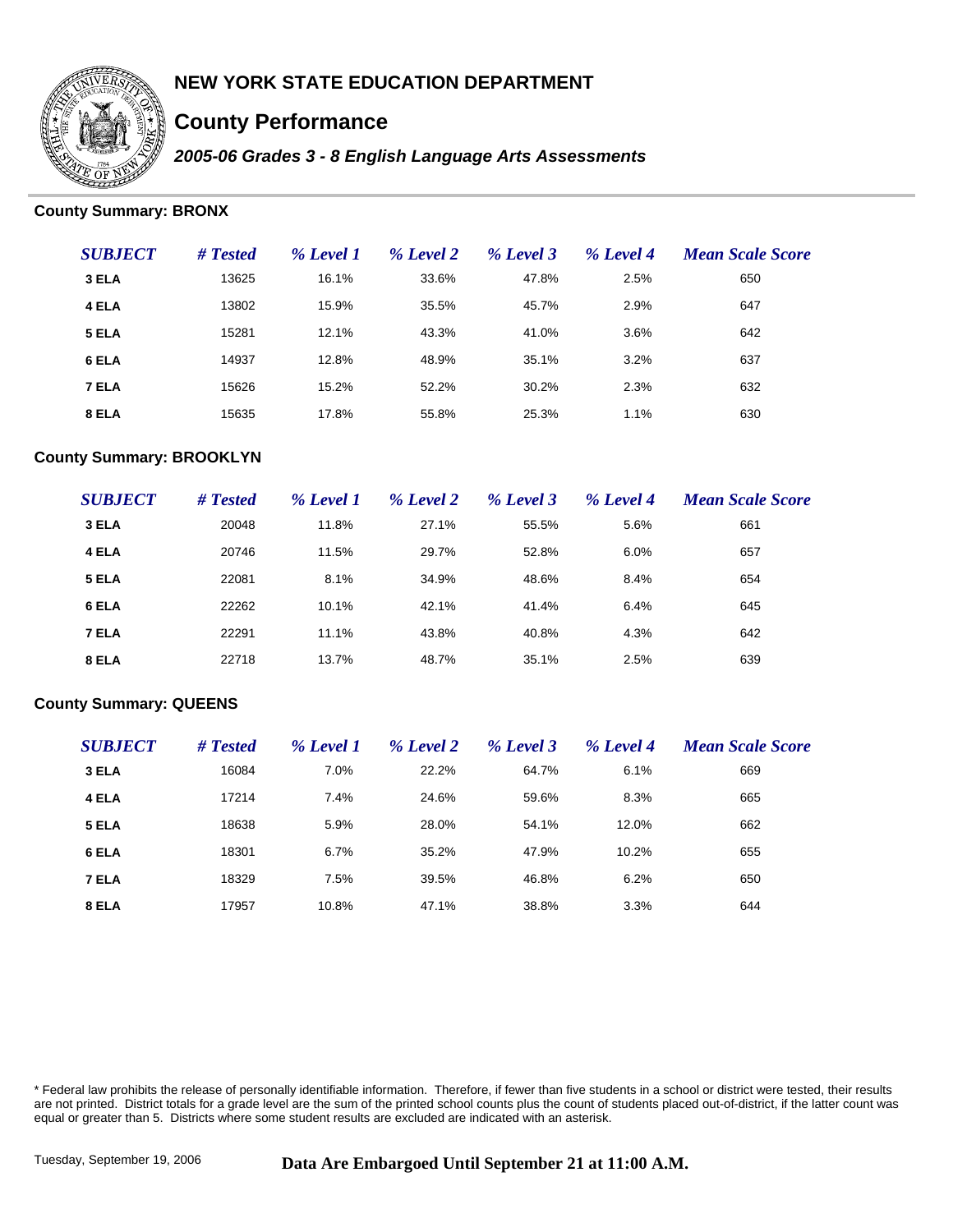

# **County Performance**

*2005-06 Grades 3 - 8 English Language Arts Assessments*

### **County Summary: BRONX**

| <b>SUBJECT</b> | # Tested | % Level 1 | % Level 2 | % Level 3 | % Level 4 | <b>Mean Scale Score</b> |
|----------------|----------|-----------|-----------|-----------|-----------|-------------------------|
| 3 ELA          | 13625    | 16.1%     | 33.6%     | 47.8%     | 2.5%      | 650                     |
| 4 ELA          | 13802    | 15.9%     | 35.5%     | 45.7%     | 2.9%      | 647                     |
| 5 ELA          | 15281    | 12.1%     | 43.3%     | 41.0%     | 3.6%      | 642                     |
| 6 ELA          | 14937    | 12.8%     | 48.9%     | 35.1%     | 3.2%      | 637                     |
| 7 ELA          | 15626    | 15.2%     | 52.2%     | 30.2%     | 2.3%      | 632                     |
| 8 ELA          | 15635    | 17.8%     | 55.8%     | 25.3%     | 1.1%      | 630                     |

### **County Summary: BROOKLYN**

| <b>SUBJECT</b> | # Tested | % Level 1 | % Level 2 | % Level 3 | % Level 4 | <b>Mean Scale Score</b> |
|----------------|----------|-----------|-----------|-----------|-----------|-------------------------|
| 3 ELA          | 20048    | 11.8%     | 27.1%     | 55.5%     | 5.6%      | 661                     |
| 4 ELA          | 20746    | 11.5%     | 29.7%     | 52.8%     | $6.0\%$   | 657                     |
| 5 ELA          | 22081    | 8.1%      | 34.9%     | 48.6%     | 8.4%      | 654                     |
| 6 ELA          | 22262    | 10.1%     | 42.1%     | 41.4%     | 6.4%      | 645                     |
| 7 ELA          | 22291    | 11.1%     | 43.8%     | 40.8%     | 4.3%      | 642                     |
| 8 ELA          | 22718    | 13.7%     | 48.7%     | 35.1%     | 2.5%      | 639                     |

#### **County Summary: QUEENS**

| <b>SUBJECT</b> | # Tested | % Level 1 | % Level 2 | % Level 3 | % Level 4 | <b>Mean Scale Score</b> |
|----------------|----------|-----------|-----------|-----------|-----------|-------------------------|
| 3 ELA          | 16084    | 7.0%      | 22.2%     | 64.7%     | 6.1%      | 669                     |
| 4 ELA          | 17214    | 7.4%      | 24.6%     | 59.6%     | 8.3%      | 665                     |
| 5 ELA          | 18638    | 5.9%      | 28.0%     | 54.1%     | 12.0%     | 662                     |
| 6 ELA          | 18301    | 6.7%      | 35.2%     | 47.9%     | 10.2%     | 655                     |
| 7 ELA          | 18329    | 7.5%      | 39.5%     | 46.8%     | 6.2%      | 650                     |
| 8 ELA          | 17957    | 10.8%     | 47.1%     | 38.8%     | 3.3%      | 644                     |

\* Federal law prohibits the release of personally identifiable information. Therefore, if fewer than five students in a school or district were tested, their results are not printed. District totals for a grade level are the sum of the printed school counts plus the count of students placed out-of-district, if the latter count was equal or greater than 5. Districts where some student results are excluded are indicated with an asterisk.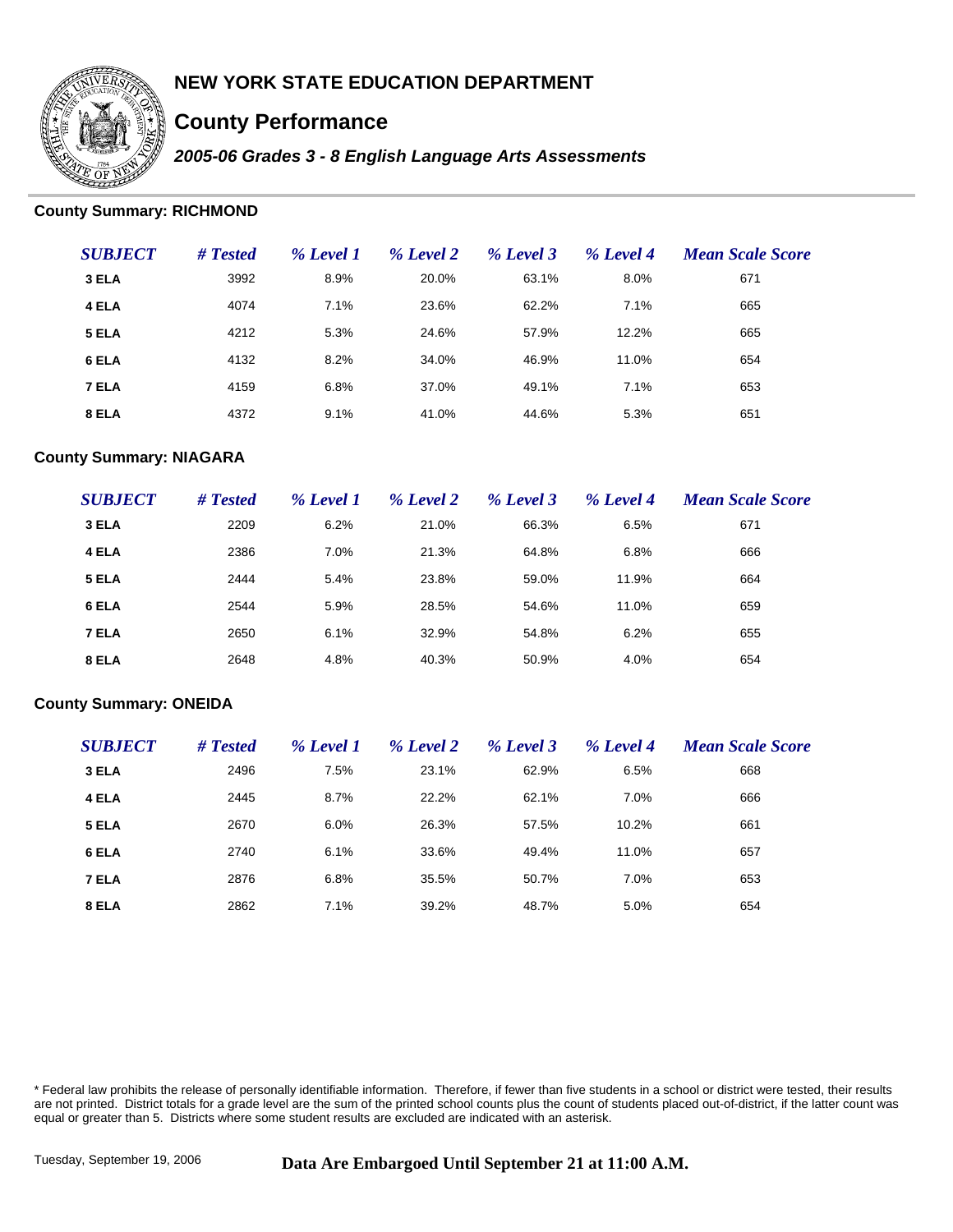

# **County Performance**

*2005-06 Grades 3 - 8 English Language Arts Assessments*

### **County Summary: RICHMOND**

| <b>SUBJECT</b> | # Tested | % Level 1 | % Level 2 | % Level 3 | % Level 4 | <b>Mean Scale Score</b> |
|----------------|----------|-----------|-----------|-----------|-----------|-------------------------|
| 3 ELA          | 3992     | 8.9%      | 20.0%     | 63.1%     | 8.0%      | 671                     |
| 4 ELA          | 4074     | 7.1%      | 23.6%     | 62.2%     | 7.1%      | 665                     |
| 5 ELA          | 4212     | 5.3%      | 24.6%     | 57.9%     | 12.2%     | 665                     |
| 6 ELA          | 4132     | 8.2%      | 34.0%     | 46.9%     | 11.0%     | 654                     |
| 7 ELA          | 4159     | 6.8%      | 37.0%     | 49.1%     | 7.1%      | 653                     |
| 8 ELA          | 4372     | 9.1%      | 41.0%     | 44.6%     | 5.3%      | 651                     |

### **County Summary: NIAGARA**

| <b>SUBJECT</b> | # Tested | % Level 1 | % Level 2 | % Level 3 | % Level 4 | <b>Mean Scale Score</b> |
|----------------|----------|-----------|-----------|-----------|-----------|-------------------------|
| 3 ELA          | 2209     | 6.2%      | 21.0%     | 66.3%     | 6.5%      | 671                     |
| 4 ELA          | 2386     | 7.0%      | 21.3%     | 64.8%     | 6.8%      | 666                     |
| 5 ELA          | 2444     | 5.4%      | 23.8%     | 59.0%     | 11.9%     | 664                     |
| 6 ELA          | 2544     | 5.9%      | 28.5%     | 54.6%     | 11.0%     | 659                     |
| 7 ELA          | 2650     | 6.1%      | 32.9%     | 54.8%     | 6.2%      | 655                     |
| 8 ELA          | 2648     | 4.8%      | 40.3%     | 50.9%     | 4.0%      | 654                     |

#### **County Summary: ONEIDA**

| <b>SUBJECT</b> | # Tested | % Level 1 | % Level 2 | % Level 3 | % Level 4 | <b>Mean Scale Score</b> |
|----------------|----------|-----------|-----------|-----------|-----------|-------------------------|
| 3 ELA          | 2496     | 7.5%      | 23.1%     | 62.9%     | 6.5%      | 668                     |
| 4 ELA          | 2445     | 8.7%      | 22.2%     | 62.1%     | 7.0%      | 666                     |
| 5 ELA          | 2670     | 6.0%      | 26.3%     | 57.5%     | 10.2%     | 661                     |
| 6 ELA          | 2740     | 6.1%      | 33.6%     | 49.4%     | 11.0%     | 657                     |
| 7 ELA          | 2876     | 6.8%      | 35.5%     | 50.7%     | 7.0%      | 653                     |
| 8 ELA          | 2862     | 7.1%      | 39.2%     | 48.7%     | 5.0%      | 654                     |

\* Federal law prohibits the release of personally identifiable information. Therefore, if fewer than five students in a school or district were tested, their results are not printed. District totals for a grade level are the sum of the printed school counts plus the count of students placed out-of-district, if the latter count was equal or greater than 5. Districts where some student results are excluded are indicated with an asterisk.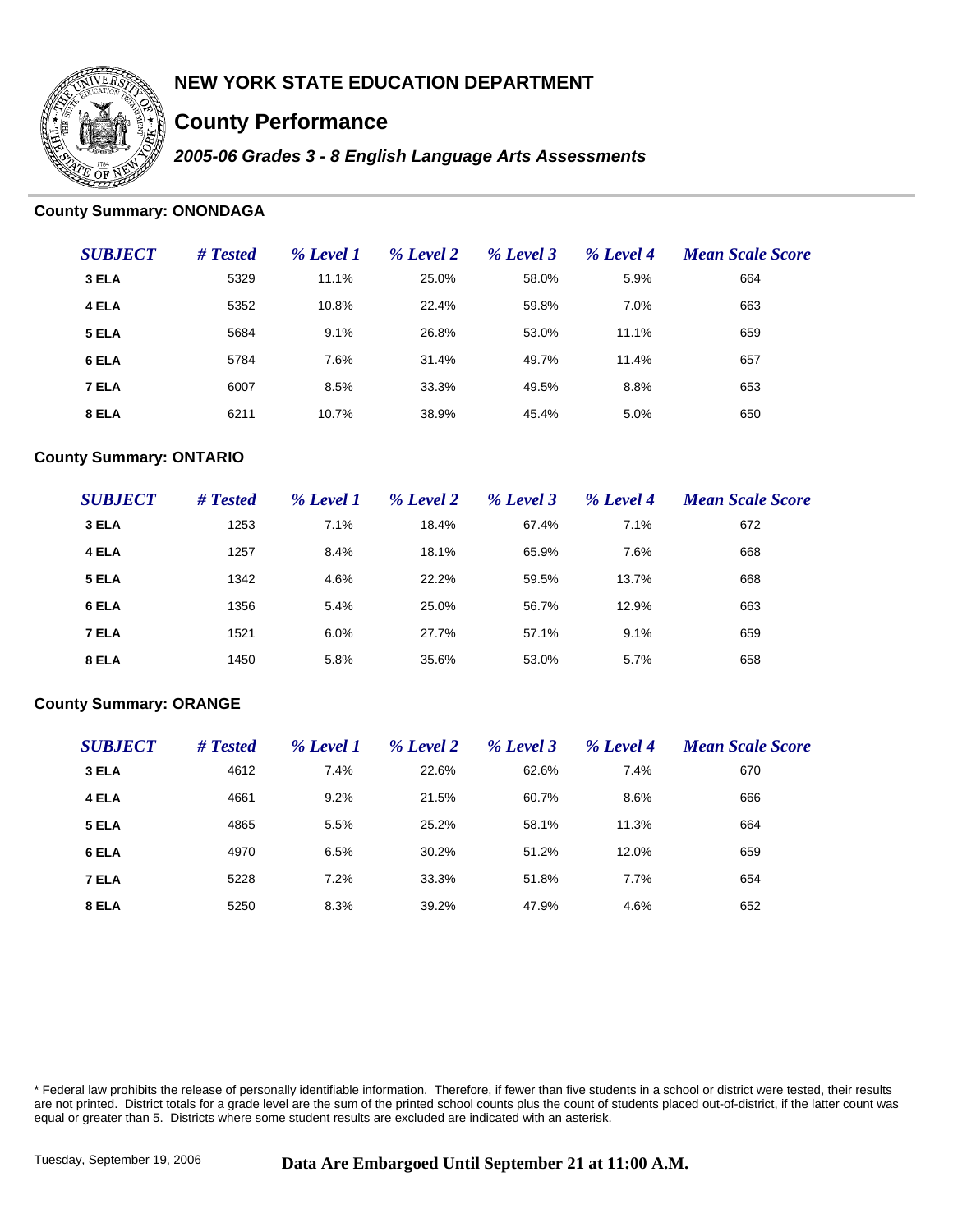

# **County Performance**

*2005-06 Grades 3 - 8 English Language Arts Assessments*

### **County Summary: ONONDAGA**

| <b>SUBJECT</b> | # Tested | % Level 1 | % Level 2 | % Level 3 | % Level 4 | <b>Mean Scale Score</b> |
|----------------|----------|-----------|-----------|-----------|-----------|-------------------------|
| 3 ELA          | 5329     | 11.1%     | 25.0%     | 58.0%     | 5.9%      | 664                     |
| 4 ELA          | 5352     | 10.8%     | 22.4%     | 59.8%     | 7.0%      | 663                     |
| 5 ELA          | 5684     | 9.1%      | 26.8%     | 53.0%     | 11.1%     | 659                     |
| 6 ELA          | 5784     | 7.6%      | 31.4%     | 49.7%     | 11.4%     | 657                     |
| 7 ELA          | 6007     | 8.5%      | 33.3%     | 49.5%     | 8.8%      | 653                     |
| 8 ELA          | 6211     | 10.7%     | 38.9%     | 45.4%     | 5.0%      | 650                     |

### **County Summary: ONTARIO**

| <b>SUBJECT</b> | # Tested | % Level 1 | % Level 2 | % Level 3 | % Level 4 | <b>Mean Scale Score</b> |
|----------------|----------|-----------|-----------|-----------|-----------|-------------------------|
| 3 ELA          | 1253     | 7.1%      | 18.4%     | 67.4%     | 7.1%      | 672                     |
| 4 ELA          | 1257     | 8.4%      | 18.1%     | 65.9%     | 7.6%      | 668                     |
| 5 ELA          | 1342     | 4.6%      | 22.2%     | 59.5%     | 13.7%     | 668                     |
| 6 ELA          | 1356     | 5.4%      | 25.0%     | 56.7%     | 12.9%     | 663                     |
| 7 ELA          | 1521     | 6.0%      | 27.7%     | 57.1%     | 9.1%      | 659                     |
| 8 ELA          | 1450     | 5.8%      | 35.6%     | 53.0%     | 5.7%      | 658                     |

#### **County Summary: ORANGE**

| <b>SUBJECT</b> | # Tested | % Level 1 | % Level 2 | % Level 3 | % Level 4 | <b>Mean Scale Score</b> |
|----------------|----------|-----------|-----------|-----------|-----------|-------------------------|
| 3 ELA          | 4612     | 7.4%      | 22.6%     | 62.6%     | 7.4%      | 670                     |
| 4 ELA          | 4661     | 9.2%      | 21.5%     | 60.7%     | 8.6%      | 666                     |
| 5 ELA          | 4865     | 5.5%      | 25.2%     | 58.1%     | 11.3%     | 664                     |
| 6 ELA          | 4970     | 6.5%      | 30.2%     | 51.2%     | 12.0%     | 659                     |
| 7 ELA          | 5228     | 7.2%      | 33.3%     | 51.8%     | 7.7%      | 654                     |
| 8 ELA          | 5250     | 8.3%      | 39.2%     | 47.9%     | 4.6%      | 652                     |

\* Federal law prohibits the release of personally identifiable information. Therefore, if fewer than five students in a school or district were tested, their results are not printed. District totals for a grade level are the sum of the printed school counts plus the count of students placed out-of-district, if the latter count was equal or greater than 5. Districts where some student results are excluded are indicated with an asterisk.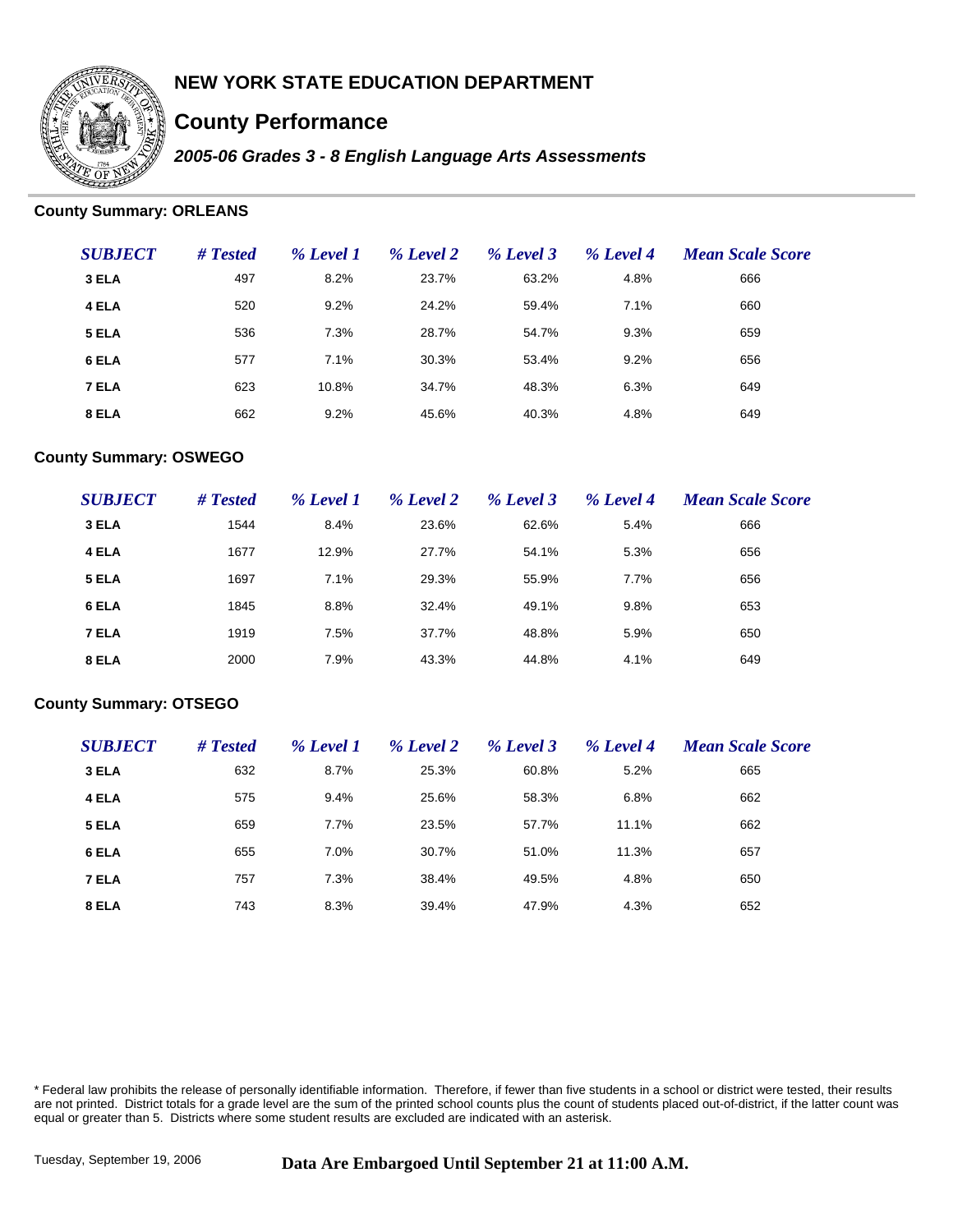

# **County Performance**

*2005-06 Grades 3 - 8 English Language Arts Assessments*

### **County Summary: ORLEANS**

| <b>SUBJECT</b> | # Tested | % Level 1 | % Level 2 | % Level 3 | % Level 4 | <b>Mean Scale Score</b> |
|----------------|----------|-----------|-----------|-----------|-----------|-------------------------|
| 3 ELA          | 497      | 8.2%      | 23.7%     | 63.2%     | 4.8%      | 666                     |
| 4 ELA          | 520      | 9.2%      | 24.2%     | 59.4%     | 7.1%      | 660                     |
| 5 ELA          | 536      | 7.3%      | 28.7%     | 54.7%     | 9.3%      | 659                     |
| 6 ELA          | 577      | 7.1%      | 30.3%     | 53.4%     | 9.2%      | 656                     |
| 7 ELA          | 623      | 10.8%     | 34.7%     | 48.3%     | 6.3%      | 649                     |
| 8 ELA          | 662      | 9.2%      | 45.6%     | 40.3%     | 4.8%      | 649                     |

### **County Summary: OSWEGO**

| <b>SUBJECT</b> | # Tested | % Level 1 | % Level 2 | % Level 3 | % Level 4 | <b>Mean Scale Score</b> |
|----------------|----------|-----------|-----------|-----------|-----------|-------------------------|
| 3 ELA          | 1544     | 8.4%      | 23.6%     | 62.6%     | 5.4%      | 666                     |
| 4 ELA          | 1677     | 12.9%     | 27.7%     | 54.1%     | 5.3%      | 656                     |
| 5 ELA          | 1697     | 7.1%      | 29.3%     | 55.9%     | 7.7%      | 656                     |
| 6 ELA          | 1845     | 8.8%      | 32.4%     | 49.1%     | 9.8%      | 653                     |
| 7 ELA          | 1919     | 7.5%      | 37.7%     | 48.8%     | 5.9%      | 650                     |
| 8 ELA          | 2000     | 7.9%      | 43.3%     | 44.8%     | 4.1%      | 649                     |

#### **County Summary: OTSEGO**

| <b>SUBJECT</b> | # Tested | % Level 1 | % Level 2 | % Level 3 | % Level 4 | <b>Mean Scale Score</b> |
|----------------|----------|-----------|-----------|-----------|-----------|-------------------------|
| 3 ELA          | 632      | 8.7%      | 25.3%     | 60.8%     | 5.2%      | 665                     |
| 4 ELA          | 575      | 9.4%      | 25.6%     | 58.3%     | 6.8%      | 662                     |
| 5 ELA          | 659      | 7.7%      | 23.5%     | 57.7%     | 11.1%     | 662                     |
| 6 ELA          | 655      | 7.0%      | 30.7%     | 51.0%     | 11.3%     | 657                     |
| 7 ELA          | 757      | 7.3%      | 38.4%     | 49.5%     | 4.8%      | 650                     |
| 8 ELA          | 743      | 8.3%      | 39.4%     | 47.9%     | 4.3%      | 652                     |

\* Federal law prohibits the release of personally identifiable information. Therefore, if fewer than five students in a school or district were tested, their results are not printed. District totals for a grade level are the sum of the printed school counts plus the count of students placed out-of-district, if the latter count was equal or greater than 5. Districts where some student results are excluded are indicated with an asterisk.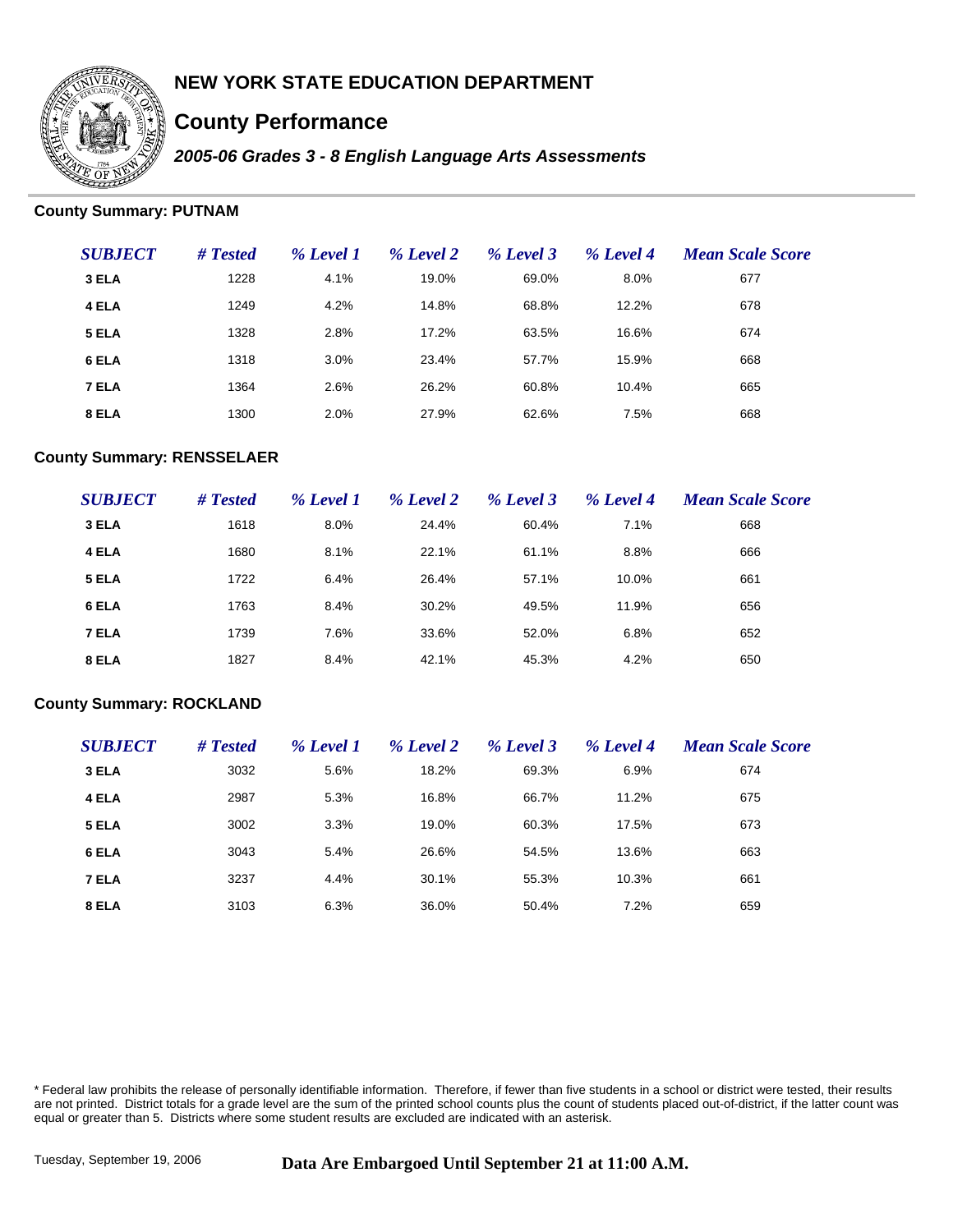

# **County Performance**

*2005-06 Grades 3 - 8 English Language Arts Assessments*

### **County Summary: PUTNAM**

| <b>SUBJECT</b> | # Tested | % Level 1 | % Level 2 | % Level 3 | % Level 4 | <b>Mean Scale Score</b> |
|----------------|----------|-----------|-----------|-----------|-----------|-------------------------|
| 3 ELA          | 1228     | 4.1%      | 19.0%     | 69.0%     | 8.0%      | 677                     |
| 4 ELA          | 1249     | 4.2%      | 14.8%     | 68.8%     | 12.2%     | 678                     |
| 5 ELA          | 1328     | 2.8%      | 17.2%     | 63.5%     | 16.6%     | 674                     |
| 6 ELA          | 1318     | 3.0%      | 23.4%     | 57.7%     | 15.9%     | 668                     |
| 7 ELA          | 1364     | 2.6%      | 26.2%     | 60.8%     | 10.4%     | 665                     |
| 8 ELA          | 1300     | 2.0%      | 27.9%     | 62.6%     | 7.5%      | 668                     |

#### **County Summary: RENSSELAER**

| <b>SUBJECT</b> | # Tested | % Level 1 | % Level 2 | % Level 3 | % Level 4 | <b>Mean Scale Score</b> |
|----------------|----------|-----------|-----------|-----------|-----------|-------------------------|
| 3 ELA          | 1618     | 8.0%      | 24.4%     | 60.4%     | 7.1%      | 668                     |
| 4 ELA          | 1680     | 8.1%      | 22.1%     | 61.1%     | 8.8%      | 666                     |
| 5 ELA          | 1722     | 6.4%      | 26.4%     | 57.1%     | 10.0%     | 661                     |
| 6 ELA          | 1763     | 8.4%      | 30.2%     | 49.5%     | 11.9%     | 656                     |
| 7 ELA          | 1739     | 7.6%      | 33.6%     | 52.0%     | 6.8%      | 652                     |
| 8 ELA          | 1827     | 8.4%      | 42.1%     | 45.3%     | 4.2%      | 650                     |

#### **County Summary: ROCKLAND**

| <b>SUBJECT</b> | # Tested | % Level 1 | % Level 2 | % Level 3 | % Level 4 | <b>Mean Scale Score</b> |
|----------------|----------|-----------|-----------|-----------|-----------|-------------------------|
| 3 ELA          | 3032     | 5.6%      | 18.2%     | 69.3%     | 6.9%      | 674                     |
| 4 ELA          | 2987     | 5.3%      | 16.8%     | 66.7%     | 11.2%     | 675                     |
| 5 ELA          | 3002     | 3.3%      | 19.0%     | 60.3%     | 17.5%     | 673                     |
| 6 ELA          | 3043     | 5.4%      | 26.6%     | 54.5%     | 13.6%     | 663                     |
| 7 ELA          | 3237     | 4.4%      | 30.1%     | 55.3%     | 10.3%     | 661                     |
| 8 ELA          | 3103     | 6.3%      | 36.0%     | 50.4%     | 7.2%      | 659                     |

\* Federal law prohibits the release of personally identifiable information. Therefore, if fewer than five students in a school or district were tested, their results are not printed. District totals for a grade level are the sum of the printed school counts plus the count of students placed out-of-district, if the latter count was equal or greater than 5. Districts where some student results are excluded are indicated with an asterisk.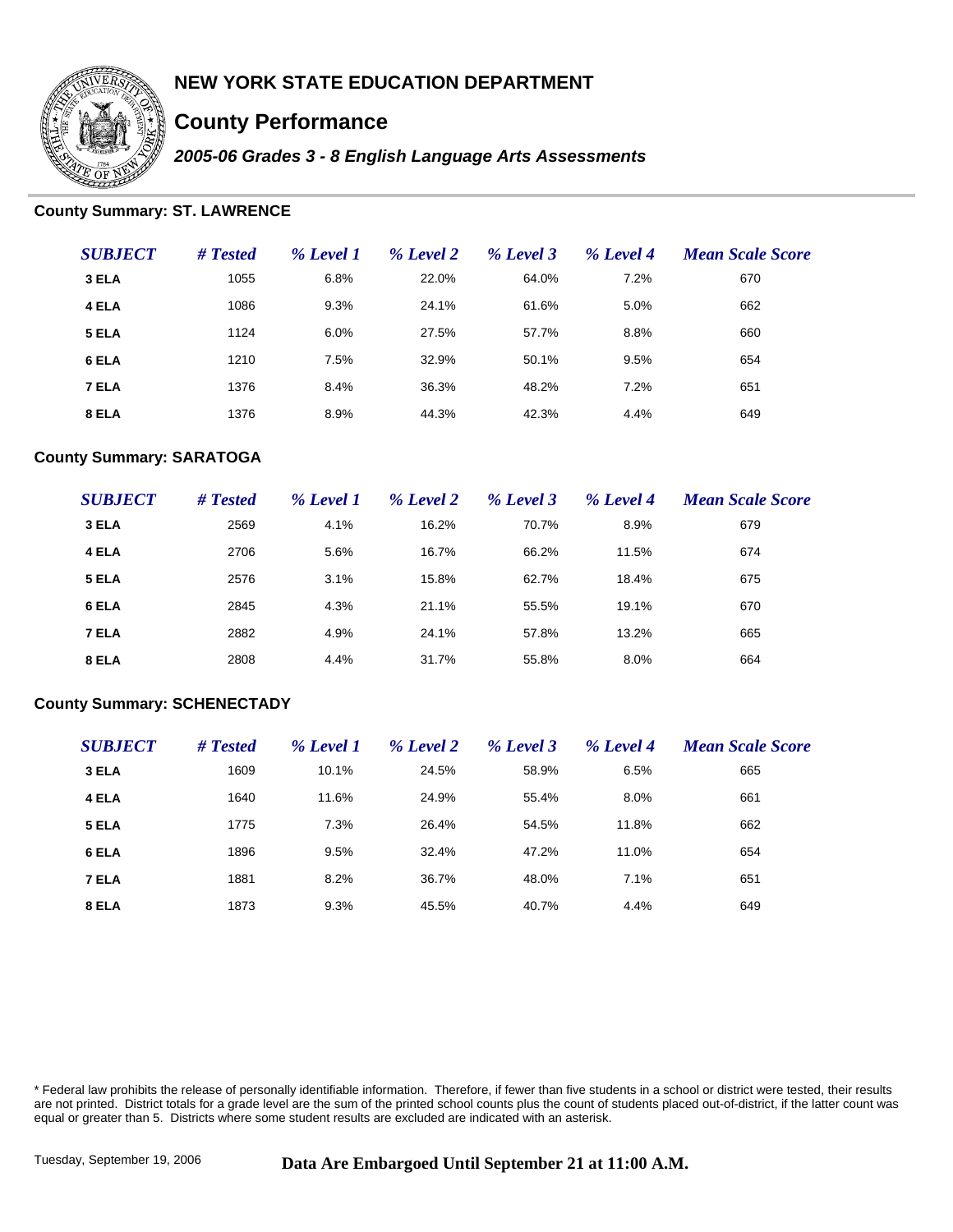

# **County Performance**

*2005-06 Grades 3 - 8 English Language Arts Assessments*

#### **County Summary: ST. LAWRENCE**

| <b>SUBJECT</b> | # Tested | % Level 1 | % Level 2 | % Level 3 | % Level 4 | <b>Mean Scale Score</b> |
|----------------|----------|-----------|-----------|-----------|-----------|-------------------------|
| 3 ELA          | 1055     | 6.8%      | 22.0%     | 64.0%     | 7.2%      | 670                     |
| 4 ELA          | 1086     | 9.3%      | 24.1%     | 61.6%     | 5.0%      | 662                     |
| 5 ELA          | 1124     | 6.0%      | 27.5%     | 57.7%     | 8.8%      | 660                     |
| 6 ELA          | 1210     | 7.5%      | 32.9%     | 50.1%     | 9.5%      | 654                     |
| 7 ELA          | 1376     | 8.4%      | 36.3%     | 48.2%     | 7.2%      | 651                     |
| 8 ELA          | 1376     | 8.9%      | 44.3%     | 42.3%     | 4.4%      | 649                     |

#### **County Summary: SARATOGA**

| <b>SUBJECT</b> | # Tested | % Level 1 | % Level 2 | % Level 3 | % Level 4 | <b>Mean Scale Score</b> |
|----------------|----------|-----------|-----------|-----------|-----------|-------------------------|
| 3 ELA          | 2569     | 4.1%      | 16.2%     | 70.7%     | 8.9%      | 679                     |
| 4 ELA          | 2706     | 5.6%      | 16.7%     | 66.2%     | 11.5%     | 674                     |
| 5 ELA          | 2576     | 3.1%      | 15.8%     | 62.7%     | 18.4%     | 675                     |
| 6 ELA          | 2845     | 4.3%      | 21.1%     | 55.5%     | 19.1%     | 670                     |
| 7 ELA          | 2882     | 4.9%      | 24.1%     | 57.8%     | 13.2%     | 665                     |
| 8 ELA          | 2808     | 4.4%      | 31.7%     | 55.8%     | 8.0%      | 664                     |

#### **County Summary: SCHENECTADY**

| <b>SUBJECT</b> | # Tested | % Level 1 | % Level 2 | % Level 3 | % Level 4 | <b>Mean Scale Score</b> |
|----------------|----------|-----------|-----------|-----------|-----------|-------------------------|
| 3 ELA          | 1609     | 10.1%     | 24.5%     | 58.9%     | 6.5%      | 665                     |
| 4 ELA          | 1640     | 11.6%     | 24.9%     | 55.4%     | 8.0%      | 661                     |
| 5 ELA          | 1775     | 7.3%      | 26.4%     | 54.5%     | 11.8%     | 662                     |
| 6 ELA          | 1896     | 9.5%      | 32.4%     | 47.2%     | 11.0%     | 654                     |
| 7 ELA          | 1881     | 8.2%      | 36.7%     | 48.0%     | 7.1%      | 651                     |
| 8 ELA          | 1873     | 9.3%      | 45.5%     | 40.7%     | 4.4%      | 649                     |

\* Federal law prohibits the release of personally identifiable information. Therefore, if fewer than five students in a school or district were tested, their results are not printed. District totals for a grade level are the sum of the printed school counts plus the count of students placed out-of-district, if the latter count was equal or greater than 5. Districts where some student results are excluded are indicated with an asterisk.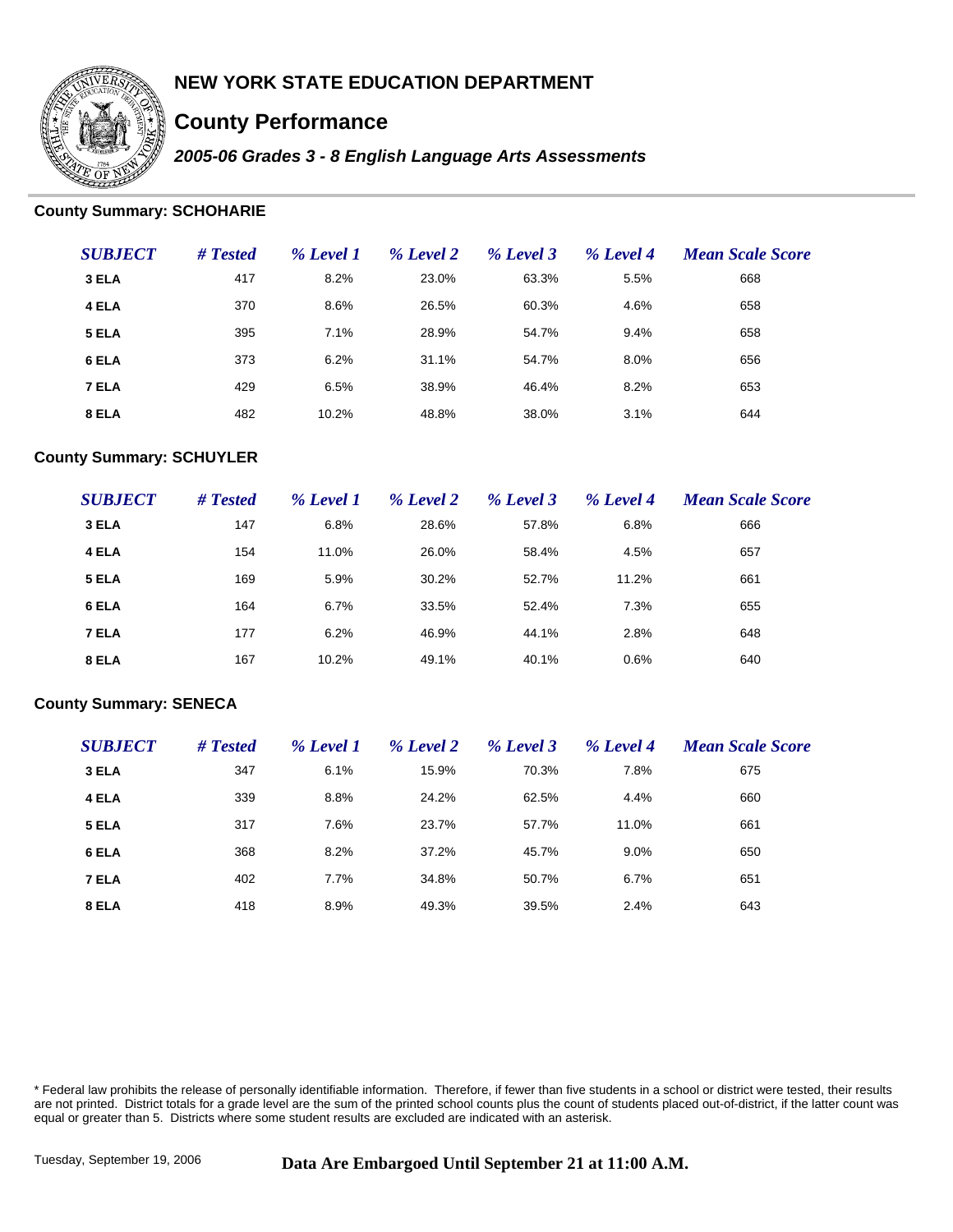

# **County Performance**

*2005-06 Grades 3 - 8 English Language Arts Assessments*

### **County Summary: SCHOHARIE**

| <b>SUBJECT</b> | # Tested | % Level 1 | % Level 2 | % Level 3 | % Level 4 | <b>Mean Scale Score</b> |
|----------------|----------|-----------|-----------|-----------|-----------|-------------------------|
| 3 ELA          | 417      | 8.2%      | 23.0%     | 63.3%     | 5.5%      | 668                     |
| 4 ELA          | 370      | 8.6%      | 26.5%     | 60.3%     | 4.6%      | 658                     |
| 5 ELA          | 395      | 7.1%      | 28.9%     | 54.7%     | 9.4%      | 658                     |
| 6 ELA          | 373      | 6.2%      | 31.1%     | 54.7%     | 8.0%      | 656                     |
| 7 ELA          | 429      | 6.5%      | 38.9%     | 46.4%     | 8.2%      | 653                     |
| 8 ELA          | 482      | 10.2%     | 48.8%     | 38.0%     | 3.1%      | 644                     |

### **County Summary: SCHUYLER**

| <b>SUBJECT</b> | # Tested | % Level 1 | % Level 2 | % Level 3 | % Level 4 | <b>Mean Scale Score</b> |
|----------------|----------|-----------|-----------|-----------|-----------|-------------------------|
| 3 ELA          | 147      | 6.8%      | 28.6%     | 57.8%     | 6.8%      | 666                     |
| 4 ELA          | 154      | 11.0%     | 26.0%     | 58.4%     | 4.5%      | 657                     |
| 5 ELA          | 169      | 5.9%      | 30.2%     | 52.7%     | 11.2%     | 661                     |
| 6 ELA          | 164      | 6.7%      | 33.5%     | 52.4%     | 7.3%      | 655                     |
| 7 ELA          | 177      | 6.2%      | 46.9%     | 44.1%     | 2.8%      | 648                     |
| 8 ELA          | 167      | 10.2%     | 49.1%     | 40.1%     | 0.6%      | 640                     |

#### **County Summary: SENECA**

| <b>SUBJECT</b> | # Tested | % Level 1 | % Level 2 | % Level 3 | % Level 4 | <b>Mean Scale Score</b> |
|----------------|----------|-----------|-----------|-----------|-----------|-------------------------|
| 3 ELA          | 347      | 6.1%      | 15.9%     | 70.3%     | 7.8%      | 675                     |
| 4 ELA          | 339      | 8.8%      | 24.2%     | 62.5%     | 4.4%      | 660                     |
| 5 ELA          | 317      | 7.6%      | 23.7%     | 57.7%     | 11.0%     | 661                     |
| 6 ELA          | 368      | 8.2%      | 37.2%     | 45.7%     | 9.0%      | 650                     |
| 7 ELA          | 402      | 7.7%      | 34.8%     | 50.7%     | 6.7%      | 651                     |
| 8 ELA          | 418      | 8.9%      | 49.3%     | 39.5%     | 2.4%      | 643                     |

\* Federal law prohibits the release of personally identifiable information. Therefore, if fewer than five students in a school or district were tested, their results are not printed. District totals for a grade level are the sum of the printed school counts plus the count of students placed out-of-district, if the latter count was equal or greater than 5. Districts where some student results are excluded are indicated with an asterisk.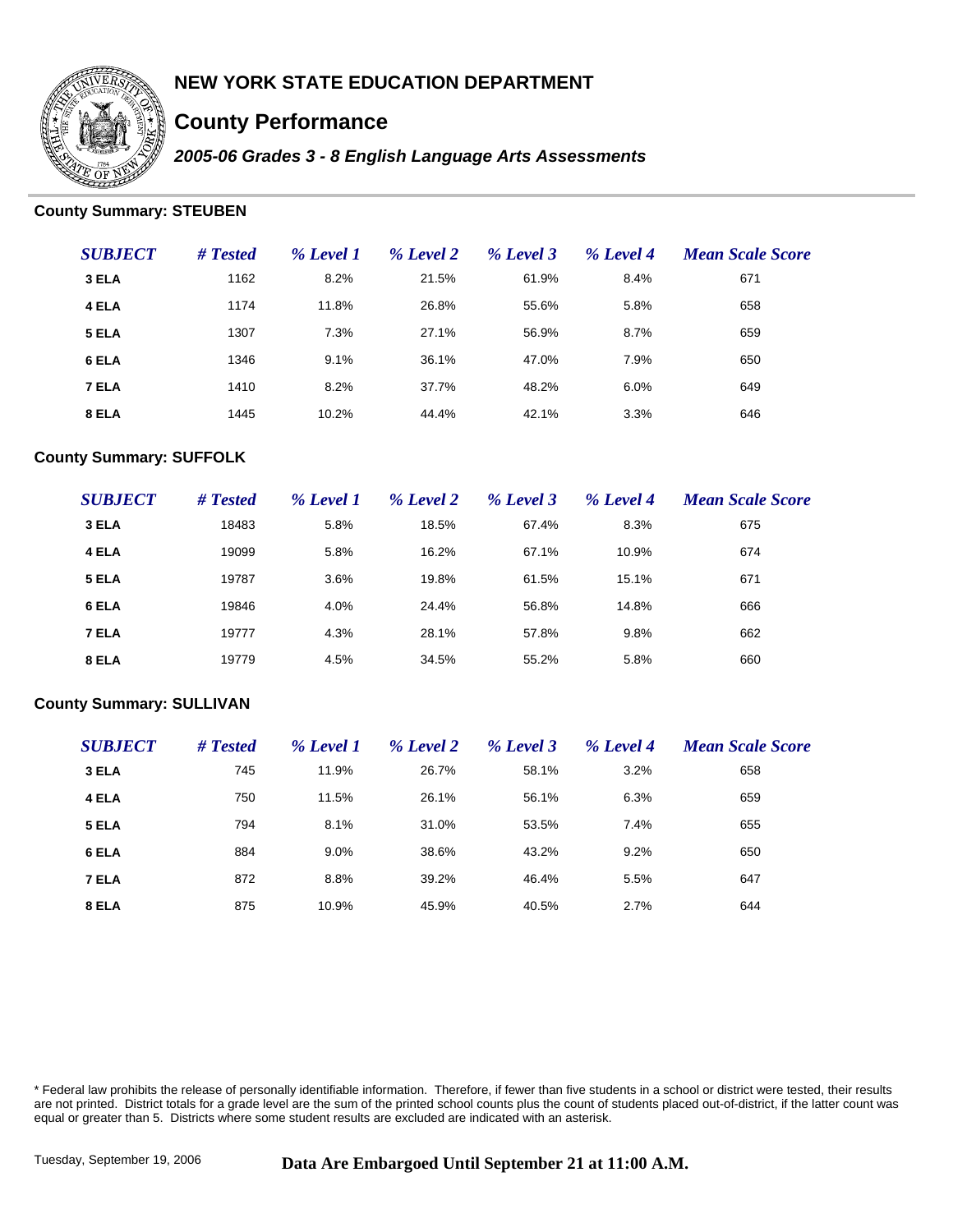

# **County Performance**

*2005-06 Grades 3 - 8 English Language Arts Assessments*

### **County Summary: STEUBEN**

| <b>SUBJECT</b> | # Tested | % Level 1 | % Level 2 | % Level 3 | % Level 4 | <b>Mean Scale Score</b> |
|----------------|----------|-----------|-----------|-----------|-----------|-------------------------|
| 3 ELA          | 1162     | 8.2%      | 21.5%     | 61.9%     | 8.4%      | 671                     |
| 4 ELA          | 1174     | 11.8%     | 26.8%     | 55.6%     | 5.8%      | 658                     |
| 5 ELA          | 1307     | 7.3%      | 27.1%     | 56.9%     | 8.7%      | 659                     |
| 6 ELA          | 1346     | 9.1%      | 36.1%     | 47.0%     | 7.9%      | 650                     |
| 7 ELA          | 1410     | 8.2%      | 37.7%     | 48.2%     | 6.0%      | 649                     |
| 8 ELA          | 1445     | 10.2%     | 44.4%     | 42.1%     | 3.3%      | 646                     |

#### **County Summary: SUFFOLK**

| <b>SUBJECT</b> | # Tested | % Level 1 | % Level 2 | % Level 3 | % Level 4 | <b>Mean Scale Score</b> |
|----------------|----------|-----------|-----------|-----------|-----------|-------------------------|
| 3 ELA          | 18483    | 5.8%      | 18.5%     | 67.4%     | 8.3%      | 675                     |
| 4 ELA          | 19099    | 5.8%      | 16.2%     | 67.1%     | 10.9%     | 674                     |
| 5 ELA          | 19787    | 3.6%      | 19.8%     | 61.5%     | 15.1%     | 671                     |
| 6 ELA          | 19846    | 4.0%      | 24.4%     | 56.8%     | 14.8%     | 666                     |
| 7 ELA          | 19777    | 4.3%      | 28.1%     | 57.8%     | 9.8%      | 662                     |
| 8 ELA          | 19779    | 4.5%      | 34.5%     | 55.2%     | 5.8%      | 660                     |

#### **County Summary: SULLIVAN**

| <b>SUBJECT</b> | # Tested | % Level 1 | % Level 2 | % Level 3 | % Level 4 | <b>Mean Scale Score</b> |
|----------------|----------|-----------|-----------|-----------|-----------|-------------------------|
| 3 ELA          | 745      | 11.9%     | 26.7%     | 58.1%     | 3.2%      | 658                     |
| 4 ELA          | 750      | 11.5%     | 26.1%     | 56.1%     | 6.3%      | 659                     |
| 5 ELA          | 794      | 8.1%      | 31.0%     | 53.5%     | 7.4%      | 655                     |
| 6 ELA          | 884      | 9.0%      | 38.6%     | 43.2%     | 9.2%      | 650                     |
| 7 ELA          | 872      | 8.8%      | 39.2%     | 46.4%     | 5.5%      | 647                     |
| 8 ELA          | 875      | 10.9%     | 45.9%     | 40.5%     | 2.7%      | 644                     |

\* Federal law prohibits the release of personally identifiable information. Therefore, if fewer than five students in a school or district were tested, their results are not printed. District totals for a grade level are the sum of the printed school counts plus the count of students placed out-of-district, if the latter count was equal or greater than 5. Districts where some student results are excluded are indicated with an asterisk.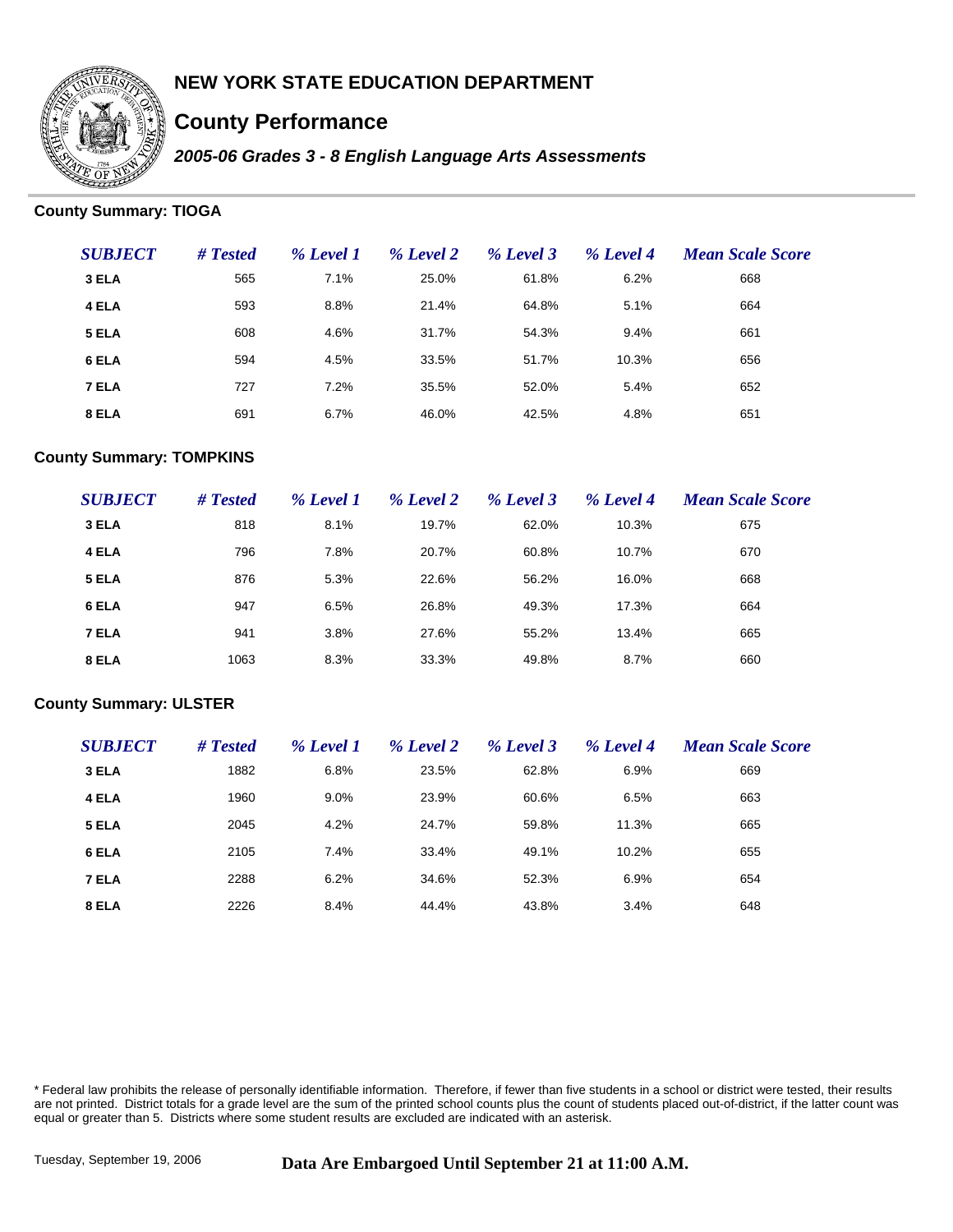

# **County Performance**

*2005-06 Grades 3 - 8 English Language Arts Assessments*

### **County Summary: TIOGA**

| <b>SUBJECT</b> | # Tested | % Level 1 | % Level 2 | % Level 3 | % Level 4 | <b>Mean Scale Score</b> |
|----------------|----------|-----------|-----------|-----------|-----------|-------------------------|
| 3 ELA          | 565      | 7.1%      | 25.0%     | 61.8%     | 6.2%      | 668                     |
| 4 ELA          | 593      | 8.8%      | 21.4%     | 64.8%     | 5.1%      | 664                     |
| 5 ELA          | 608      | 4.6%      | 31.7%     | 54.3%     | 9.4%      | 661                     |
| 6 ELA          | 594      | 4.5%      | 33.5%     | 51.7%     | 10.3%     | 656                     |
| 7 ELA          | 727      | 7.2%      | 35.5%     | 52.0%     | 5.4%      | 652                     |
| 8 ELA          | 691      | 6.7%      | 46.0%     | 42.5%     | 4.8%      | 651                     |

### **County Summary: TOMPKINS**

| <b>SUBJECT</b> | $#$ Tested | % Level 1 | % Level 2 | % Level 3 | % Level 4 | <b>Mean Scale Score</b> |
|----------------|------------|-----------|-----------|-----------|-----------|-------------------------|
| 3 ELA          | 818        | 8.1%      | 19.7%     | 62.0%     | 10.3%     | 675                     |
| 4 ELA          | 796        | 7.8%      | 20.7%     | 60.8%     | 10.7%     | 670                     |
| 5 ELA          | 876        | 5.3%      | 22.6%     | 56.2%     | 16.0%     | 668                     |
| 6 ELA          | 947        | 6.5%      | 26.8%     | 49.3%     | 17.3%     | 664                     |
| 7 ELA          | 941        | 3.8%      | 27.6%     | 55.2%     | 13.4%     | 665                     |
| 8 ELA          | 1063       | 8.3%      | 33.3%     | 49.8%     | 8.7%      | 660                     |

#### **County Summary: ULSTER**

| <b>SUBJECT</b> | # Tested | % Level 1 | % Level 2 | % Level 3 | % Level 4 | <b>Mean Scale Score</b> |
|----------------|----------|-----------|-----------|-----------|-----------|-------------------------|
| 3 ELA          | 1882     | 6.8%      | 23.5%     | 62.8%     | 6.9%      | 669                     |
| 4 ELA          | 1960     | 9.0%      | 23.9%     | 60.6%     | 6.5%      | 663                     |
| 5 ELA          | 2045     | 4.2%      | 24.7%     | 59.8%     | 11.3%     | 665                     |
| 6 ELA          | 2105     | 7.4%      | 33.4%     | 49.1%     | 10.2%     | 655                     |
| 7 ELA          | 2288     | 6.2%      | 34.6%     | 52.3%     | 6.9%      | 654                     |
| 8 ELA          | 2226     | 8.4%      | 44.4%     | 43.8%     | 3.4%      | 648                     |

\* Federal law prohibits the release of personally identifiable information. Therefore, if fewer than five students in a school or district were tested, their results are not printed. District totals for a grade level are the sum of the printed school counts plus the count of students placed out-of-district, if the latter count was equal or greater than 5. Districts where some student results are excluded are indicated with an asterisk.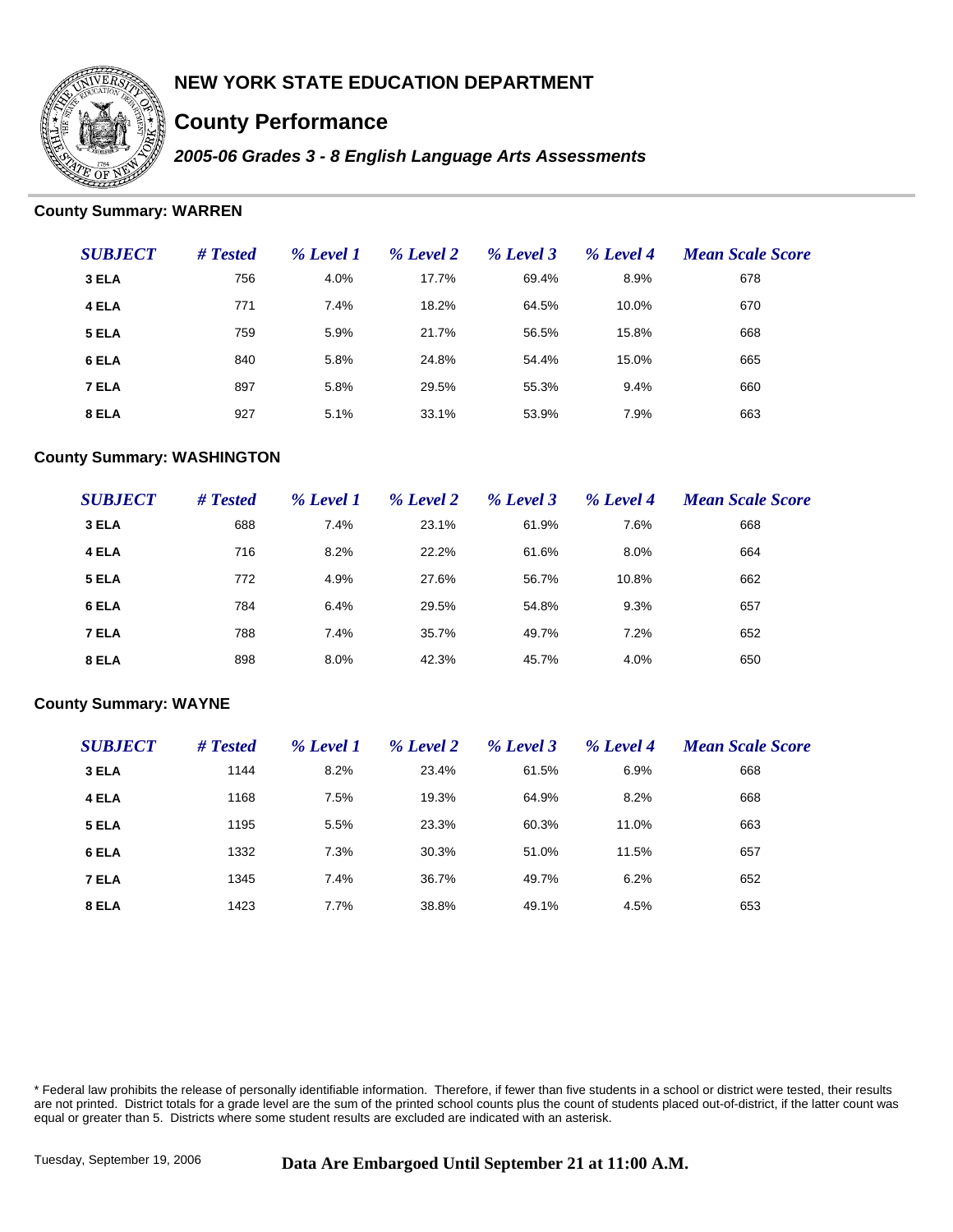

# **County Performance**

*2005-06 Grades 3 - 8 English Language Arts Assessments*

### **County Summary: WARREN**

| <b>SUBJECT</b> | # Tested | % Level 1 | % Level 2 | % Level 3 | % Level 4 | <b>Mean Scale Score</b> |
|----------------|----------|-----------|-----------|-----------|-----------|-------------------------|
| 3 ELA          | 756      | 4.0%      | 17.7%     | 69.4%     | 8.9%      | 678                     |
| 4 ELA          | 771      | 7.4%      | 18.2%     | 64.5%     | 10.0%     | 670                     |
| 5 ELA          | 759      | 5.9%      | 21.7%     | 56.5%     | 15.8%     | 668                     |
| 6 ELA          | 840      | 5.8%      | 24.8%     | 54.4%     | 15.0%     | 665                     |
| 7 ELA          | 897      | 5.8%      | 29.5%     | 55.3%     | 9.4%      | 660                     |
| 8 ELA          | 927      | 5.1%      | 33.1%     | 53.9%     | 7.9%      | 663                     |

#### **County Summary: WASHINGTON**

| <b>SUBJECT</b> | # Tested | % Level 1 | % Level 2 | % Level 3 | % Level 4 | <b>Mean Scale Score</b> |
|----------------|----------|-----------|-----------|-----------|-----------|-------------------------|
| 3 ELA          | 688      | 7.4%      | 23.1%     | 61.9%     | 7.6%      | 668                     |
| 4 ELA          | 716      | 8.2%      | 22.2%     | 61.6%     | 8.0%      | 664                     |
| 5 ELA          | 772      | 4.9%      | 27.6%     | 56.7%     | 10.8%     | 662                     |
| 6 ELA          | 784      | 6.4%      | 29.5%     | 54.8%     | 9.3%      | 657                     |
| 7 ELA          | 788      | 7.4%      | 35.7%     | 49.7%     | 7.2%      | 652                     |
| 8 ELA          | 898      | 8.0%      | 42.3%     | 45.7%     | 4.0%      | 650                     |

#### **County Summary: WAYNE**

| <b>SUBJECT</b> | # Tested | % Level 1 | % Level 2 | % Level 3 | % Level 4 | <b>Mean Scale Score</b> |
|----------------|----------|-----------|-----------|-----------|-----------|-------------------------|
| 3 ELA          | 1144     | 8.2%      | 23.4%     | 61.5%     | 6.9%      | 668                     |
| 4 ELA          | 1168     | 7.5%      | 19.3%     | 64.9%     | 8.2%      | 668                     |
| 5 ELA          | 1195     | 5.5%      | 23.3%     | 60.3%     | 11.0%     | 663                     |
| 6 ELA          | 1332     | 7.3%      | 30.3%     | 51.0%     | 11.5%     | 657                     |
| 7 ELA          | 1345     | 7.4%      | 36.7%     | 49.7%     | 6.2%      | 652                     |
| 8 ELA          | 1423     | 7.7%      | 38.8%     | 49.1%     | 4.5%      | 653                     |

\* Federal law prohibits the release of personally identifiable information. Therefore, if fewer than five students in a school or district were tested, their results are not printed. District totals for a grade level are the sum of the printed school counts plus the count of students placed out-of-district, if the latter count was equal or greater than 5. Districts where some student results are excluded are indicated with an asterisk.